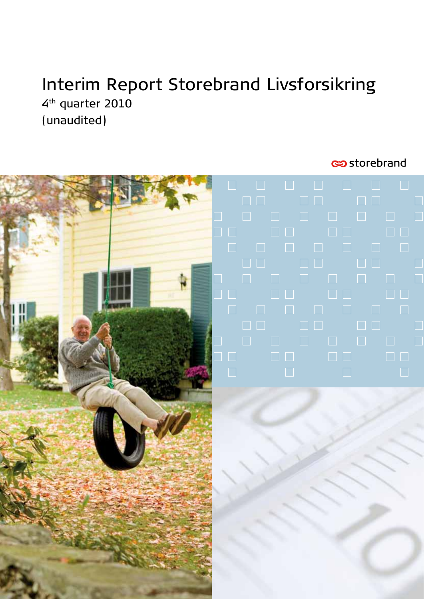# Interim Report Storebrand Livsforsikring 4th quarter 2010

(unaudited)

estorebrand

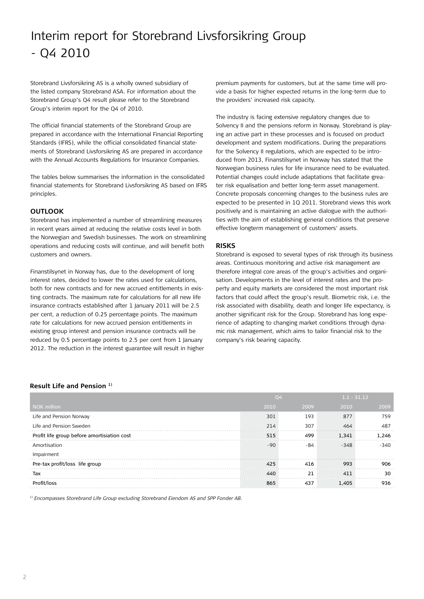# Interim report for Storebrand Livsforsikring Group - Q4 2010

Storebrand Livsforsikring AS is a wholly owned subsidiary of the listed company Storebrand ASA. For information about the Storebrand Group's Q4 result please refer to the Storebrand Group's interim report for the Q4 of 2010.

The official financial statements of the Storebrand Group are prepared in accordance with the International Financial Reporting Standards (IFRS), while the official consolidated financial statements of Storebrand Livsforsikring AS are prepared in accordance with the Annual Accounts Regulations for Insurance Companies.

The tables below summarises the information in the consolidated financial statements for Storebrand Livsforsikring AS based on IFRS principles.

### **OUTLOOK**

Storebrand has implemented a number of streamlining measures in recent years aimed at reducing the relative costs level in both the Norwegian and Swedish businesses. The work on streamlining operations and reducing costs will continue, and will benefit both customers and owners.

Finanstilsynet in Norway has, due to the development of long interest rates, decided to lower the rates used for calculations, both for new contracts and for new accrued entitlements in existing contracts. The maximum rate for calculations for all new life insurance contracts established after 1 January 2011 will be 2.5 per cent, a reduction of 0.25 percentage points. The maximum rate for calculations for new accrued pension entitlements in existing group interest and pension insurance contracts will be reduced by 0.5 percentage points to 2.5 per cent from 1 January 2012. The reduction in the interest guarantee will result in higher premium payments for customers, but at the same time will provide a basis for higher expected returns in the long-term due to the providers' increased risk capacity.

The industry is facing extensive regulatory changes due to Solvency II and the pensions reform in Norway. Storebrand is playing an active part in these processes and is focused on product development and system modifications. During the preparations for the Solvency II regulations, which are expected to be introduced from 2013, Finanstilsynet in Norway has stated that the Norwegian business rules for life insurance need to be evaluated. Potential changes could include adaptations that facilitate greater risk equalisation and better long-term asset management. Concrete proposals concerning changes to the business rules are expected to be presented in 1Q 2011. Storebrand views this work positively and is maintaining an active dialogue with the authorities with the aim of establishing general conditions that preserve effective longterm management of customers' assets.

### **Risks**

Storebrand is exposed to several types of risk through its business areas. Continuous monitoring and active risk management are therefore integral core areas of the group's activities and organisation. Developments in the level of interest rates and the property and equity markets are considered the most important risk factors that could affect the group's result. Biometric risk, i.e. the risk associated with disability, death and longer life expectancy, is another significant risk for the Group. Storebrand has long experience of adapting to changing market conditions through dynamic risk management, which aims to tailor financial risk to the company's risk bearing capacity.

### **Result Life and Pension 1)**

|                                             | Q <sub>4</sub> |      | $1.1 - 31.12$ |        |
|---------------------------------------------|----------------|------|---------------|--------|
| <b>NOK million</b>                          | 2010           | 2009 | 2010          | 2009   |
| Life and Pension Norway                     | 301            | 193  | 877           | 759    |
| Life and Pension Sweden                     | 214            | 307  | 464           | 487    |
| Profit life group before amortisiation cost | 515            | 499  | 1,341         | 1,246  |
| Amortisation                                | $-90$          | -84  | $-348$        | $-340$ |
| Impairment                                  |                |      |               |        |
| Pre-tax profit/loss life group              | 425            | 416  | 993           | 906    |
| Tax                                         | 440            | 21   | 411           | 30     |
| Profit/loss                                 | 865            | 437  | 1,405         | 936    |
|                                             |                |      |               |        |

*1) Encompasses Storebrand Life Group excluding Storebrand Eiendom AS and SPP Fonder AB.*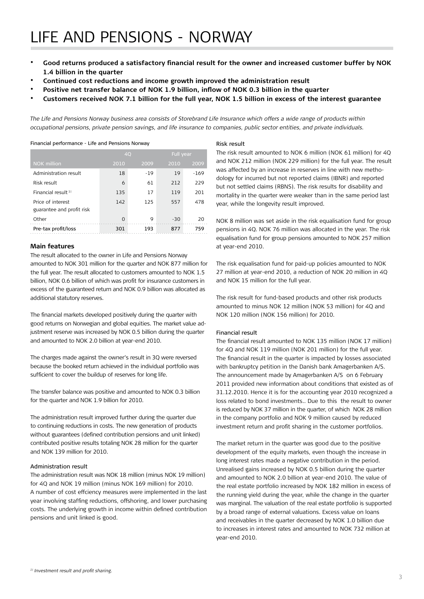- Good returns produced a satisfactory financial result for the owner and increased customer buffer by NOK **1.4 billion in the quarter**
- Continued cost reductions and income growth improved the administration result
- Positive net transfer balance of NOK 1.9 billion, inflow of NOK 0.3 billion in the quarter
- Customers received NOK 7.1 billion for the full year, NOK 1.5 billion in excess of the interest guarantee

*The Life and Pensions Norway business area consists of Storebrand Life Insurance which offers a wide range of products within occupational pensions, private pension savings, and life insurance to companies, public sector entities, and private individuals.*

| ו הסווכום ואסטונות ביוסיות המודרת המודרת הסוויים ומסוויו |          |       |           |        |  |
|----------------------------------------------------------|----------|-------|-----------|--------|--|
|                                                          | 40       |       | Full year |        |  |
| <b>NOK million</b>                                       | 2010     | 2009  | 2010      | 2009   |  |
| Administration result                                    | 18       | $-19$ | 19        | $-169$ |  |
| Risk result                                              | 6        | 61    | 212       | 229    |  |
| Financial result $1$ )                                   | 135      | 17    | 119       | 201    |  |
| Price of interest                                        | 142      | 125   | 557       | 478    |  |
| guarantee and profit risk                                |          |       |           |        |  |
| Other                                                    | $\Omega$ | 9     | $-30$     | 20     |  |
| Pre-tax profit/loss                                      | 301      | 193   | 877       | 759    |  |

Financial performance - Life and Pensions Norway

# **Main features**

The result allocated to the owner in Life and Pensions Norway amounted to NOK 301 million for the quarter and NOK 877 million for the full year. The result allocated to customers amounted to NOK 1.5 billion, NOK 0.6 billion of which was profit for insurance customers in excess of the guaranteed return and NOK 0.9 billion was allocated as additional statutory reserves.

The financial markets developed positively during the quarter with good returns on Norwegian and global equities. The market value adjustment reserve was increased by NOK 0.5 billion during the quarter and amounted to NOK 2.0 billion at year-end 2010.

The charges made against the owner's result in 3Q were reversed because the booked return achieved in the individual portfolio was sufficient to cover the buildup of reserves for long life.

The transfer balance was positive and amounted to NOK 0.3 billion for the quarter and NOK 1.9 billion for 2010.

The administration result improved further during the quarter due to continuing reductions in costs. The new generation of products without guarantees (defined contribution pensions and unit linked) contributed positive results totaling NOK 28 million for the quarter and NOK 139 million for 2010.

#### Administration result

The administration result was NOK 18 million (minus NOK 19 million) for 4Q and NOK 19 million (minus NOK 169 million) for 2010. A number of cost effciency measures were implemented in the last year involving staffing reductions, offshoring, and lower purchasing costs. The underlying growth in income within defined contribution pensions and unit linked is good.

#### Risk result

The risk result amounted to NOK 6 million (NOK 61 million) for 4Q and NOK 212 million (NOK 229 million) for the full year. The result was affected by an increase in reserves in line with new methodology for incurred but not reported claims (IBNR) and reported but not settled claims (RBNS). The risk results for disability and mortality in the quarter were weaker than in the same period last year, while the longevity result improved.

NOK 8 million was set aside in the risk equalisation fund for group pensions in 4Q. NOK 76 million was allocated in the year. The risk equalisation fund for group pensions amounted to NOK 257 million at year-end 2010.

The risk equalisation fund for paid-up policies amounted to NOK 27 million at year-end 2010, a reduction of NOK 20 million in 4Q and NOK 15 million for the full year.

The risk result for fund-based products and other risk products amounted to minus NOK 12 million (NOK 53 million) for 4Q and NOK 120 million (NOK 156 million) for 2010.

#### Financial result

The financial result amounted to NOK 135 million (NOK 17 million) for 4Q and NOK 119 million (NOK 201 million) for the full year. The financial result in the quarter is impacted by losses associated with bankruptcy petition in the Danish bank Amagerbanken A/S. The announcement made by Amagerbanken A/S on 6 February 2011 provided new information about conditions that existed as of 31.12.2010. Hence it is for the accounting year 2010 recognized a loss related to bond investments.. Due to this the result to owner is reduced by NOK 37 million in the quarter, of which NOK 28 million in the company portfolio and NOK 9 million caused by reduced investment return and profit sharing in the customer portfolios.

The market return in the quarter was good due to the positive development of the equity markets, even though the increase in long interest rates made a negative contribution in the period. Unrealised gains increased by NOK 0.5 billion during the quarter and amounted to NOK 2.0 billion at year-end 2010. The value of the real estate portfolio increased by NOK 182 million in excess of the running yield during the year, while the change in the quarter was marginal. The valuation of the real estate portfolio is supported by a broad range of external valuations. Excess value on loans and receivables in the quarter decreased by NOK 1.0 billion due to increases in interest rates and amounted to NOK 732 million at year-end 2010.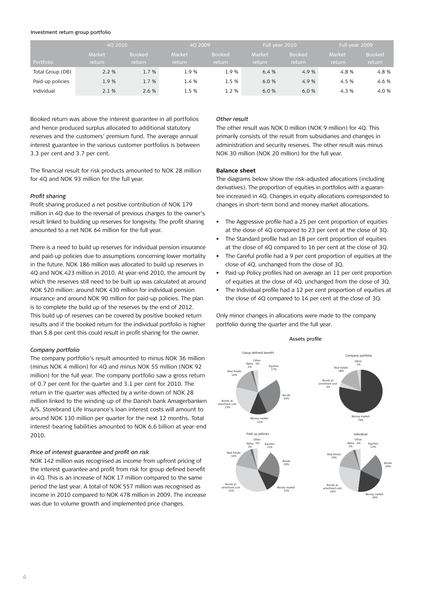#### Investment return group portfolio

|                  | 40 2010 |               | 40 2009 |               |               | Full year 2010 | Full year 2009 |               |
|------------------|---------|---------------|---------|---------------|---------------|----------------|----------------|---------------|
|                  | Market  | <b>Booked</b> | Market  | <b>Booked</b> | <b>Market</b> | <b>Booked</b>  | Market         | <b>Booked</b> |
| Portfolio        | return  | return        | return  | return        | <b>return</b> | return         | return         | return        |
| Total Group (DB) | 2.2%    | 1.7 %         | 1.9 %   | 1.9%          | 6.4%          | 4.9 %          | 4.8 %          | 4.8 %         |
| Paid-up policies | 1.9%    | 1.7 %         | 1.4 %   | 1.5 %         | 6.0%          | 4.9 %          | 4.5 %          | 4.6 %         |
| Individual       | 2.1%    | 2.6%          | 1.5 %   | l.2 %         | 6.0%          | 6.0%           | 4.3 %          | 4.0%          |

Booked return was above the interest guarantee in all portfolios and hence produced surplus allocated to additional statutory reserves and the customers' premium fund. The average annual interest guarantee in the various customer portfolios is between 3.3 per cent and 3.7 per cent.

The financial result for risk products amounted to NOK 28 million for 4Q and NOK 93 million for the full year.

#### *Profit sharing*

Profit sharing produced a net positive contribution of NOK 179 million in 4Q due to the reversal of previous charges to the owner's result linked to building up reserves for longevity. The profit sharing amounted to a net NOK 64 million for the full year.

There is a need to build up reserves for individual pension insurance and paid-up policies due to assumptions concerning lower mortality in the future. NOK 186 million was allocated to build up reserves in 4Q and NOK 423 million in 2010. At year-end 2010, the amount by which the reserves still need to be built up was calculated at around NOK 520 million: around NOK 430 million for individual pension insurance and around NOK 90 million for paid-up policies. The plan is to complete the build up of the reserves by the end of 2012. This build up of reserves can be covered by positive booked return results and if the booked return for the individual portfolio is higher than 5.8 per cent this could result in profit sharing for the owner.

#### *Company portfolio*

The company portfolio's result amounted to minus NOK 36 million (minus NOK 4 million) for 4Q and minus NOK 55 million (NOK 92 million) for the full year. The company portfolio saw a gross return of 0.7 per cent for the quarter and 3.1 per cent for 2010. The return in the quarter was affected by a write-down of NOK 28 million linked to the winding-up of the Danish bank Amagerbanken A/S. Storebrand Life Insurance's loan interest costs will amount to around NOK 130 million per quarter for the next 12 months. Total interest-bearing liabilities amounted to NOK 6.6 billion at year-end 2010.

#### *Price of interest guarantee and profit on risk*

NOK 142 million was recognised as income from upfront pricing of the interest guarantee and profit from risk for group defined benefit in 4Q. This is an increase of NOK 17 million compared to the same period the last year. A total of NOK 557 million was recognised as income in 2010 compared to NOK 478 million in 2009. The increase was due to volume growth and implemented price changes.

#### *Other result*

The other result was NOK 0 million (NOK 9 million) for 4Q. This primarily consists of the result from subsidiaries and changes in administration and security reserves. The other result was minus NOK 30 million (NOK 20 million) for the full year.

#### **Balance sheet**

The diagrams below show the risk-adjusted allocations (including derivatives). The proportion of equities in portfolios with a guarantee increased in 4Q. Changes in equity allocations corresponded to changes in short-term bond and money market allocations.

- The Aggressive profile had a 25 per cent proportion of equities at the close of 4Q compared to 23 per cent at the close of 3Q.
- The Standard profile had an 18 per cent proportion of equities at the close of 4Q compared to 16 per cent at the close of 3Q.
- The Careful profile had a 9 per cent proportion of equities at the close of 4Q, unchanged from the close of 3Q.
- Paid-up Policy profiles had on average an 11 per cent proportion of equities at the close of 4Q, unchanged from the close of 3Q.
- The Individual profile had a 12 per cent proportion of equities at the close of 4Q compared to 14 per cent at the close of 3Q.

Only minor changes in allocations were made to the company portfolio during the quarter and the full year.

#### Assets profile

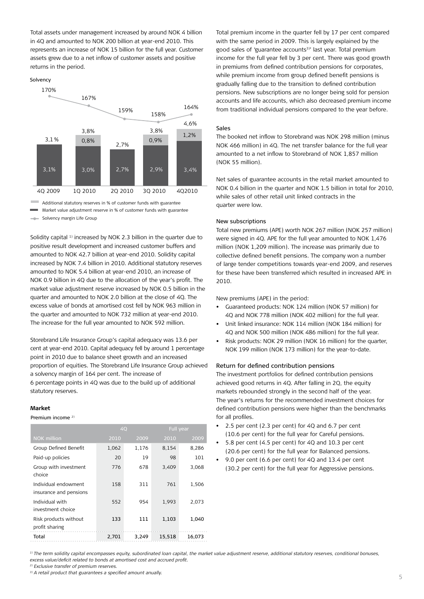Total assets under management increased by around NOK 4 billion in 4Q and amounted to NOK 200 billion at year-end 2010. This represents an increase of NOK 15 billion for the full year. Customer assets grew due to a net inflow of customer assets and positive returns in the period.

#### Solvency



Additional statutory reserves in % of customer funds with guarantee

Market value adjustment reserve in % of customer funds with guarantee

Solvency margin Life Group

Solidity capital <sup>1)</sup> increased by NOK 2.3 billion in the quarter due to positive result development and increased customer buffers and amounted to NOK 42.7 billion at year-end 2010. Solidity capital increased by NOK 7.4 billion in 2010. Additional statutory reserves amounted to NOK 5.4 billion at year-end 2010, an increase of NOK 0.9 billion in 4Q due to the allocation of the year's profit. The market value adjustment reserve increased by NOK 0.5 billion in the quarter and amounted to NOK 2.0 billion at the close of 4Q. The excess value of bonds at amortised cost fell by NOK 963 million in the quarter and amounted to NOK 732 million at year-end 2010. The increase for the full year amounted to NOK 592 million.

Storebrand Life Insurance Group's capital adequacy was 13.6 per cent at year-end 2010. Capital adequacy fell by around 1 percentage point in 2010 due to balance sheet growth and an increased proportion of equities. The Storebrand Life Insurance Group achieved a solvency margin of 164 per cent. The increase of 6 percentage points in 4Q was due to the build up of additional statutory reserves.

#### **Market**

Premium income<sup>2)</sup>

|                                                | 4Q    |       |        | <b>Full year</b> |  |
|------------------------------------------------|-------|-------|--------|------------------|--|
| <b>NOK</b> million                             | 2010  | 2009  | 2010   | 2009             |  |
| Group Defined Benefit                          | 1,062 | 1,176 | 8,154  | 8,286            |  |
| Paid-up policies                               | 20    | 19    | 98     | 101              |  |
| Group with investment                          | 776   | 678   | 3,409  | 3,068            |  |
| choice                                         |       |       |        |                  |  |
| Individual endowment<br>insurance and pensions | 158   | 311   | 761    | 1,506            |  |
| Individual with                                | 552   | 954   | 1,993  | 2,073            |  |
| investment choice                              |       |       |        |                  |  |
| Risk products without<br>profit sharing        | 133   | 111   | 1,103  | 1,040            |  |
| Total                                          | 2.701 | 3.249 | 15.518 | 16.073           |  |

Total premium income in the quarter fell by 17 per cent compared with the same period in 2009. This is largely explained by the good sales of 'guarantee accounts<sup>3)</sup>' last year. Total premium income for the full year fell by 3 per cent. There was good growth in premiums from defined contribution pensions for corporates, while premium income from group defined benefit pensions is gradually falling due to the transition to defined contribution pensions. New subscriptions are no longer being sold for pension accounts and life accounts, which also decreased premium income from traditional individual pensions compared to the year before.

#### Sales

The booked net inflow to Storebrand was NOK 298 million (minus NOK 466 million) in 4Q. The net transfer balance for the full year amounted to a net inflow to Storebrand of NOK 1,857 million (NOK 55 million).

Net sales of guarantee accounts in the retail market amounted to NOK 0.4 billion in the quarter and NOK 1.5 billion in total for 2010, while sales of other retail unit linked contracts in the quarter were low.

#### New subscriptions

Total new premiums (APE) worth NOK 267 million (NOK 257 million) were signed in 4Q. APE for the full year amounted to NOK 1,476 million (NOK 1,209 million). The increase was primarily due to collective defined benefit pensions. The company won a number of large tender competitions towards year-end 2009, and reserves for these have been transferred which resulted in increased APE in 2010.

New premiums (APE) in the period:

- Guaranteed products: NOK 124 million (NOK 57 million) for 4Q and NOK 778 million (NOK 402 million) for the full year.
- Unit linked insurance: NOK 114 million (NOK 184 million) for 4Q and NOK 500 million (NOK 486 million) for the full year.
- Risk products: NOK 29 million (NOK 16 million) for the quarter, NOK 199 million (NOK 173 million) for the year-to-date.

#### Return for defined contribution pensions

The investment portfolios for defined contribution pensions achieved good returns in 4Q. After falling in 2Q, the equity markets rebounded strongly in the second half of the year. The year's returns for the recommended investment choices for defined contribution pensions were higher than the benchmarks for all profiles.

- 2.5 per cent (2.3 per cent) for 4Q and 6.7 per cent (10.6 per cent) for the full year for Careful pensions.
- 5.8 per cent (4.5 per cent) for 4Q and 10.3 per cent (20.6 per cent) for the full year for Balanced pensions.
- 9.0 per cent (6.6 per cent) for 4Q and 13.4 per cent (30.2 per cent) for the full year for Aggressive pensions.

*1) The term solidity capital encompasses equity, subordinated loan capital, the market value adjustment reserve, additional statutory reserves, conditional bonuses, excess value/deficit related to bonds at amortised cost and accrued profit.*

*2) Exclusive transfer of premium reserves.* 

*3) A retail product that guarantees a specified amount anually.*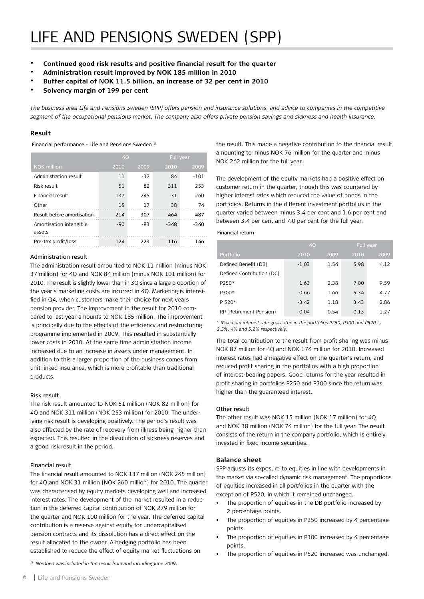- • **Continued good risk results and positive financial result for the quarter**
- Administration result improved by NOK 185 million in 2010
- Buffer capital of NOK 11.5 billion, an increase of 32 per cent in 2010
- **Solvency margin of 199 per cent**

*The business area Life and Pensions Sweden (SPP) offers pension and insurance solutions, and advice to companies in the competitive segment of the occupational pensions market. The company also offers private pension savings and sickness and health insurance.*

### **Result**

Financial performance - Life and Pensions Sweden<sup>1)</sup>

|                                   | 40    |       | Full year |        |
|-----------------------------------|-------|-------|-----------|--------|
| NOK million                       | 2010  | 2009  | 2010      | 2009   |
| Administration result             | 11    | $-37$ | 84        | $-101$ |
| Risk result                       | 51    | 82    | 311       | 253    |
| Financial result                  | 137   | 245   | 31        | 260    |
| Other                             | 15    | 17    | 38        | 74     |
| Result before amortisation        | 214   | 307   | 464       | 487    |
| Amortisation intangible<br>assets | $-90$ | -83   | $-348$    | -340   |
| Pre-tax profit/loss               | 124   | 223   | 116       | 146    |

#### Administration result

The administration result amounted to NOK 11 million (minus NOK 37 million) for 4Q and NOK 84 million (minus NOK 101 million) for 2010. The result is slightly lower than in 3Q since a large proportion of the year's marketing costs are incurred in 4Q. Marketing is intensified in Q4, when customers make their choice for next years pension provider. The improvement in the result for 2010 compared to last year amounts to NOK 185 million. The improvement is principally due to the effects of the efficiency and restructuring programme implemented in 2009. This resulted in substantially lower costs in 2010. At the same time administration income increased due to an increase in assets under management. In addition to this a larger proportion of the business comes from unit linked insurance, which is more profitable than traditional products.

#### Risk result

The risk result amounted to NOK 51 million (NOK 82 million) for 4Q and NOK 311 million (NOK 253 million) for 2010. The underlying risk result is developing positively. The period's result was also affected by the rate of recovery from illness being higher than expected. This resulted in the dissolution of sickness reserves and a good risk result in the period.

#### Financial result

The financial result amounted to NOK 137 million (NOK 245 million) for 4Q and NOK 31 million (NOK 260 million) for 2010. The quarter was characterised by equity markets developing well and increased interest rates. The development of the market resulted in a reduction in the deferred capital contribution of NOK 279 million for the quarter and NOK 100 million for the year. The deferred capital contribution is a reserve against equity for undercapitalised pension contracts and its dissolution has a direct effect on the result allocated to the owner. A hedging portfolio has been established to reduce the effect of equity market fluctuations on

<sup>1)</sup> Nordben was included in the result from and including June 2009.

the result. This made a negative contribution to the financial result amounting to minus NOK 76 million for the quarter and minus NOK 262 million for the full year.

The development of the equity markets had a positive effect on customer return in the quarter, though this was countered by higher interest rates which reduced the value of bonds in the portfolios. Returns in the different investment portfolios in the quarter varied between minus 3.4 per cent and 1.6 per cent and between 3.4 per cent and 7.0 per cent for the full year.

#### Financial return

|                           | 40      |      | Full year |      |  |
|---------------------------|---------|------|-----------|------|--|
| Portfolio                 | 2010    | 2009 | 2010      | 2009 |  |
| Defined Benefit (DB)      | $-1.03$ | 1.54 | 5.98      | 4.12 |  |
| Defined Contribution (DC) |         |      |           |      |  |
| P250*                     | 1.63    | 2.38 | 7.00      | 9.59 |  |
| P300*                     | $-0.66$ | 1.66 | 5.34      | 4.77 |  |
| $P 520*$                  | $-3.42$ | 1.18 | 3.43      | 2.86 |  |
| RP (Retirement Pension)   | $-0.04$ | 0.54 | 0.13      | 1.27 |  |

*\*) Maximum interest rate guarantee in the portfolios P250, P300 and P520 is 2.5%, 4% and 5.2% respectively.*

The total contribution to the result from profit sharing was minus NOK 87 million for 4Q and NOK 174 million for 2010. Increased interest rates had a negative effect on the quarter's return, and reduced profit sharing in the portfolios with a high proportion of interest-bearing papers. Good returns for the year resulted in profit sharing in portfolios P250 and P300 since the return was higher than the guaranteed interest.

#### Other result

The other result was NOK 15 million (NOK 17 million) for 4Q and NOK 38 million (NOK 74 million) for the full year. The result consists of the return in the company portfolio, which is entirely invested in fixed income securities.

#### **Balance sheet**

SPP adjusts its exposure to equities in line with developments in the market via so-called dynamic risk management. The proportions of equities increased in all portfolios in the quarter with the exception of P520, in which it remained unchanged.

- The proportion of equities in the DB portfolio increased by 2 percentage points.
- The proportion of equities in P250 increased by 4 percentage points.
- The proportion of equities in P300 increased by 4 percentage points.
- The proportion of equities in P520 increased was unchanged.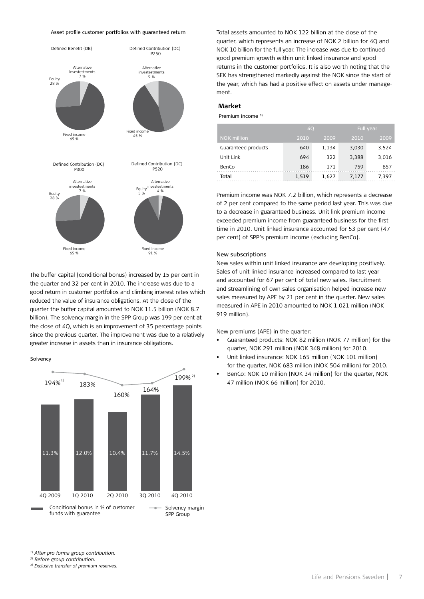#### Asset profile customer portfolios with guaranteed return



The buffer capital (conditional bonus) increased by 15 per cent in the quarter and 32 per cent in 2010. The increase was due to a good return in customer portfolios and climbing interest rates which reduced the value of insurance obligations. At the close of the quarter the buffer capital amounted to NOK 11.5 billion (NOK 8.7 billion). The solvency margin in the SPP Group was 199 per cent at the close of 4Q, which is an improvement of 35 percentage points since the previous quarter. The improvement was due to a relatively greater increase in assets than in insurance obligations.

Solvency



Total assets amounted to NOK 122 billion at the close of the quarter, which represents an increase of NOK 2 billion for 4Q and NOK 10 billion for the full year. The increase was due to continued good premium growth within unit linked insurance and good returns in the customer portfolios. It is also worth noting that the SEK has strengthened markedly against the NOK since the start of the year, which has had a positive effect on assets under management.

#### **Market**

Premium income 3)

|                     | 40    |       | Full year |       |  |
|---------------------|-------|-------|-----------|-------|--|
| <b>NOK</b> million  | 2010  | 2009  | 2010      | 2009  |  |
| Guaranteed products | 640   | 1,134 | 3,030     | 3,524 |  |
| Unit Link           | 694   | 322   | 3,388     | 3,016 |  |
| BenCo               | 186   | 171   | 759       | 857   |  |
| Total               | 1,519 | 1.627 | 7.177     | 7,397 |  |

Premium income was NOK 7.2 billion, which represents a decrease of 2 per cent compared to the same period last year. This was due to a decrease in guaranteed business. Unit link premium income exceeded premium income from guaranteed business for the first time in 2010. Unit linked insurance accounted for 53 per cent (47 per cent) of SPP's premium income (excluding BenCo).

#### New subscriptions

New sales within unit linked insurance are developing positively. Sales of unit linked insurance increased compared to last year and accounted for 67 per cent of total new sales. Recruitment and streamlining of own sales organisation helped increase new sales measured by APE by 21 per cent in the quarter. New sales measured in APE in 2010 amounted to NOK 1,021 million (NOK 919 million).

New premiums (APE) in the quarter:

- Guaranteed products: NOK 82 million (NOK 77 million) for the quarter, NOK 291 million (NOK 348 million) for 2010.
- Unit linked insurance: NOK 165 million (NOK 101 million) for the quarter, NOK 683 million (NOK 504 million) for 2010.
- BenCo: NOK 10 million (NOK 34 million) for the quarter, NOK 47 million (NOK 66 million) for 2010.

*1) After pro forma group contribution.*

*2) Before group contribution.*

*3) Exclusive transfer of premium reserves.*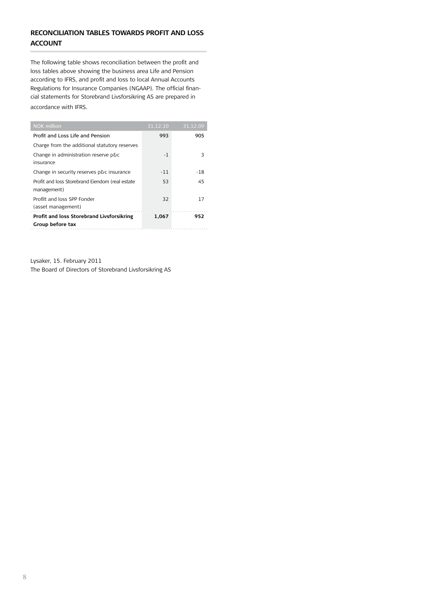## **reconciliation tables towards profit and loss account**

The following table shows reconciliation between the profit and loss tables above showing the business area Life and Pension according to IFRS, and profit and loss to local Annual Accounts Regulations for Insurance Companies (NGAAP). The official financial statements for Storebrand Livsforsikring AS are prepared in accordance with IFRS.

| <b>NOK</b> million                                             | 31.12.10 | 31.12.09 |
|----------------------------------------------------------------|----------|----------|
| Profit and Loss Life and Pension                               | 993      | 905      |
| Charge from the additional statutory reserves                  |          |          |
| Change in administration reserve p&c<br>insurance              | $-1$     | 3        |
| Change in security reserves p&c insurance                      | $-11$    | -18      |
| Profit and loss Storebrand Eiendom (real estate<br>management) | 53       | 45       |
| Profilt and loss SPP Fonder<br>(asset management)              | 32       | 17       |
| Profit and loss Storebrand Livsforsikring                      | 1.067    | 952      |
| Group before tax                                               |          |          |

Lysaker, 15. February 2011 The Board of Directors of Storebrand Livsforsikring AS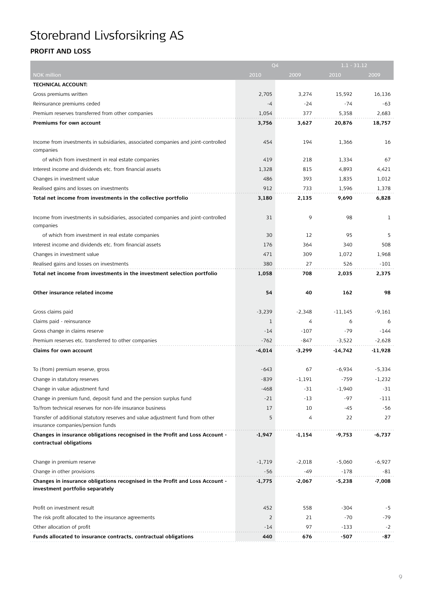# Storebrand Livsforsikring AS

# **Profit and Loss**

|                                                                                    | Q4          |          | $1.1 - 31.12$ |          |
|------------------------------------------------------------------------------------|-------------|----------|---------------|----------|
| <b>NOK</b> million                                                                 | 2010        | 2009     | 2010          | 2009     |
| <b>TECHNICAL ACCOUNT:</b>                                                          |             |          |               |          |
| Gross premiums written                                                             | 2,705       | 3,274    | 15,592        | 16,136   |
| Reinsurance premiums ceded                                                         | -4          | -24      | -74           | -63      |
| Premium reserves transferred from other companies                                  | 1,054       | 377      | 5,358         | 2,683    |
| Premiums for own account                                                           | 3,756       | 3,627    | 20,876        | 18,757   |
|                                                                                    |             |          |               |          |
| Income from investments in subsidiaries, associated companies and joint-controlled | 454         | 194      | 1,366         | 16       |
| companies                                                                          |             |          |               |          |
| of which from investment in real estate companies                                  | 419         | 218      | 1,334         | 67       |
| Interest income and dividends etc. from financial assets                           | 1,328       | 815      | 4,893         | 4,421    |
| Changes in investment value                                                        | 486         | 393      | 1,835         | 1,012    |
| Realised gains and losses on investments                                           | 912         | 733      | 1,596         | 1,378    |
| Total net income from investments in the collective portfolio                      | 3,180       | 2,135    | 9,690         | 6,828    |
|                                                                                    |             |          |               |          |
| Income from investments in subsidiaries, associated companies and joint-controlled | 31          | 9        | 98            | 1        |
| companies                                                                          |             |          |               |          |
| of which from investment in real estate companies                                  | 30          | 12       | 95            | 5        |
| Interest income and dividends etc. from financial assets                           | 176         | 364      | 340           | 508      |
| Changes in investment value                                                        | 471         | 309      | 1,072         | 1,968    |
| Realised gains and losses on investments                                           | 380         | 27       | 526           | $-101$   |
| Total net income from investments in the investment selection portfolio            | 1,058       | 708      | 2,035         | 2,375    |
|                                                                                    |             |          |               |          |
| Other insurance related income                                                     | 54          | 40       | 162           | 98       |
|                                                                                    |             |          |               |          |
| Gross claims paid                                                                  | $-3,239$    | $-2,348$ | $-11,145$     | $-9,161$ |
| Claims paid - reinsurance                                                          | $\mathbf 1$ | 4        | 6             | 6        |
| Gross change in claims reserve                                                     | -14         | $-107$   | $-79$         | $-144$   |
| Premium reserves etc. transferred to other companies                               | $-762$      | -847     | $-3,522$      | $-2,628$ |
| Claims for own account                                                             | $-4,014$    | -3,299   | -14,742       | -11,928  |
|                                                                                    |             |          |               |          |
| To (from) premium reserve, gross                                                   | $-643$      | 67       | $-6,934$      | $-5,334$ |
| Change in statutory reserves                                                       | $-839$      | $-1,191$ | $-759$        | $-1,232$ |
| Change in value adjustment fund                                                    | -468        | -31      | $-1,940$      | $-31$    |
| Change in premium fund, deposit fund and the pension surplus fund                  | $-21$       | -13      | -97           | $-111$   |
| To/from technical reserves for non-life insurance business                         | 17          | 10       | -45           | -56      |
| Transfer of additional statutory reserves and value adjustment fund from other     | 5           | 4        | 22            | 27       |
| insurance companies/pension funds                                                  |             |          |               |          |
| Changes in insurance obligations recognised in the Profit and Loss Account -       | -1,947      | -1,154   | $-9,753$      | -6,737   |
| contractual obligations                                                            |             |          |               |          |
|                                                                                    |             |          |               |          |
| Change in premium reserve                                                          | $-1,719$    | $-2,018$ | $-5,060$      | $-6,927$ |
| Change in other provisions                                                         | $-56$       | -49      | $-178$        | -81      |
| Changes in insurance obligations recognised in the Profit and Loss Account -       | $-1,775$    | $-2,067$ | -5,238        | -7,008   |
| investment portfolio separately                                                    |             |          |               |          |
|                                                                                    |             |          |               |          |
| Profit on investment result                                                        | 452         | 558      | $-304$        | -5       |
| The risk profit allocated to the insurance agreements                              | 2           | 21       | $-70$         | -79      |
| Other allocation of profit                                                         | -14         | 97       | $-133$        | $-2$     |
| Funds allocated to insurance contracts, contractual obligations                    | 440         | 676      | $-507$        | -87      |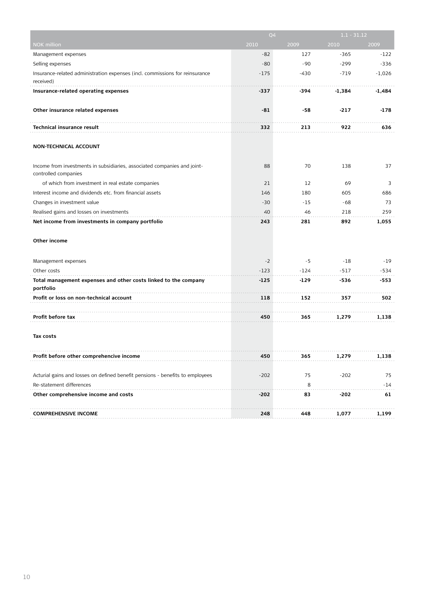|                                                                               | Q <sub>4</sub> |        | $1.1 - 31.12$ |          |
|-------------------------------------------------------------------------------|----------------|--------|---------------|----------|
| <b>NOK</b> million                                                            | 2010           | 2009   | 2010          | 2009     |
| Management expenses                                                           | $-82$          | 127    | $-365$        | $-122$   |
| Selling expenses                                                              | $-80$          | -90    | $-299$        | $-336$   |
| Insurance-related administration expenses (incl. commissions for reinsurance  | $-175$         | $-430$ | $-719$        | $-1,026$ |
| received)                                                                     |                |        |               |          |
| Insurance-related operating expenses                                          | $-337$         | -394   | -1,384        | -1,484   |
|                                                                               |                |        |               |          |
| Other insurance related expenses                                              | $-81$          | -58    | $-217$        | -178     |
| <b>Technical insurance result</b>                                             | 332            | 213    | 922           | 636      |
|                                                                               |                |        |               |          |
| <b>NON-TECHNICAL ACCOUNT</b>                                                  |                |        |               |          |
|                                                                               |                |        |               |          |
| Income from investments in subsidiaries, associated companies and joint-      | 88             | 70     | 138           | 37       |
| controlled companies                                                          |                |        |               |          |
| of which from investment in real estate companies                             | 21             | 12     | 69            | 3        |
| Interest income and dividends etc. from financial assets                      | 146            | 180    | 605           | 686      |
| Changes in investment value                                                   | $-30$          | $-15$  | -68           | 73       |
| Realised gains and losses on investments                                      | 40             | 46     | 218           | 259      |
| Net income from investments in company portfolio                              | 243            | 281    | 892           | 1,055    |
|                                                                               |                |        |               |          |
| Other income                                                                  |                |        |               |          |
|                                                                               |                |        |               |          |
| Management expenses                                                           | $-2$           | $-5$   | $-18$         | $-19$    |
| Other costs                                                                   | $-123$         | -124   | $-517$        | -534     |
| Total management expenses and other costs linked to the company               | $-125$         | -129   | -536          | $-553$   |
| portfolio                                                                     |                |        |               |          |
| Profit or loss on non-technical account                                       | 118            | 152    | 357           | 502      |
| Profit before tax                                                             | 450            | 365    | 1,279         | 1,138    |
|                                                                               |                |        |               |          |
| Tax costs                                                                     |                |        |               |          |
|                                                                               |                |        |               |          |
| Profit before other comprehencive income                                      | 450            | 365    | 1,279         | 1,138    |
|                                                                               |                |        |               |          |
| Acturial gains and losses on defined benefit pensions - benefits to employees | $-202$         | 75     | $-202$        | 75       |
| Re-statement differences                                                      |                | 8      |               | -14      |
| Other comprehensive income and costs                                          | $-202$         | 83     | -202          | 61       |
|                                                                               |                |        |               |          |
| <b>COMPREHENSIVE INCOME</b>                                                   | 248            | 448    | 1,077         | 1,199    |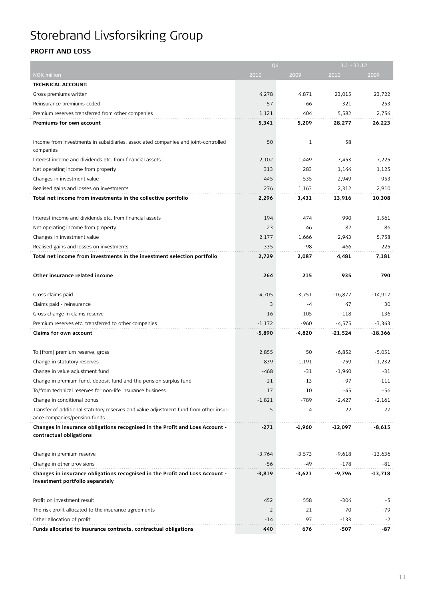# Storebrand Livsforsikring Group

# **PROFIT AND LOSS**

|                                                                                       | Q <sub>4</sub> |          | $1.1 - 31.12$  |           |
|---------------------------------------------------------------------------------------|----------------|----------|----------------|-----------|
| NOK million                                                                           | 2010           | 2009     | 2010           | 2009      |
| <b>TECHNICAL ACCOUNT:</b>                                                             |                |          |                |           |
| Gross premiums written                                                                | 4,278          | 4,871    | 23,015         | 23,722    |
| Reinsurance premiums ceded                                                            | $-57$          | -66      | $-321$         | $-253$    |
| Premium reserves transferred from other companies                                     | 1,121          | 404      | 5,582          | 2,754     |
| Premiums for own account                                                              | 5,341          | 5,209    | 28,277         | 26,223    |
|                                                                                       |                |          |                |           |
| Income from investments in subsidiaries, associated companies and joint-controlled    | 50             | 1        | 58             |           |
| companies                                                                             |                |          |                |           |
| Interest income and dividends etc. from financial assets                              | 2,102          | 1,449    | 7,453          | 7,225     |
| Net operating income from property                                                    | 313            | 283      | 1,144          | 1,125     |
| Changes in investment value                                                           | $-445$         | 535      | 2,949          | $-953$    |
| Realised gains and losses on investments                                              | 276            | 1,163    | 2,312          | 2,910     |
| Total net income from investments in the collective portfolio                         | 2,296          | 3,431    | 13,916         | 10,308    |
|                                                                                       |                |          |                |           |
| Interest income and dividends etc. from financial assets                              | 194            | 474      | 990            | 1,561     |
| Net operating income from property                                                    | 23             | 46       | 82             | 86        |
| Changes in investment value                                                           | 2,177          | 1,666    | 2,943          | 5,758     |
| Realised gains and losses on investments                                              | 335            | - 98     | 466            | $-225$    |
| Total net income from investments in the investment selection portfolio               | 2,729          | 2,087    | 4,481          | 7,181     |
|                                                                                       |                |          |                |           |
| Other insurance related income                                                        | 264            | 215      | 935            | 790       |
|                                                                                       |                |          |                |           |
| Gross claims paid                                                                     | $-4,705$       | $-3,751$ | $-16,877$      | -14,917   |
| Claims paid - reinsurance                                                             | 3              | -4       | 47             | 30        |
| Gross change in claims reserve                                                        | $-16$          | $-105$   | $-118$         | $-136$    |
| Premium reserves etc. transferred to other companies                                  | $-1,172$       | $-960$   | $-4,575$       | $-3,343$  |
| Claims for own account                                                                | -5,890         | -4,820   | -21,524        | $-18,366$ |
|                                                                                       |                |          |                |           |
| To (from) premium reserve, gross                                                      | 2,855          | 50       | $-6,852$       | $-5,051$  |
| Change in statutory reserves                                                          | $-839$         | $-1,191$ | $-759$         | $-1,232$  |
| Change in value adjustment fund                                                       | $-468$         | -31      | $-1,940$       | $-31$     |
| Change in premium fund, deposit fund and the pension surplus fund                     | $-21$          | $-13$    | $-97$          | $-111$    |
| To/from technical reserves for non-life insurance business                            | 17             | 10       | -45            | -56       |
| Change in conditional bonus                                                           | $-1,821$       | -789     |                | $-2,161$  |
| Transfer of additional statutory reserves and value adjustment fund from other insur- | 5              | 4        | $-2,427$<br>22 | 27        |
| ance companies/pension funds                                                          |                |          |                |           |
| Changes in insurance obligations recognised in the Profit and Loss Account -          | $-271$         | $-1,960$ | $-12,097$      | -8,615    |
| contractual obligations                                                               |                |          |                |           |
|                                                                                       |                |          |                |           |
| Change in premium reserve                                                             | $-3,764$       | $-3,573$ | $-9,618$       | -13,636   |
| Change in other provisions                                                            | $-56$          | -49      | $-178$         | -81       |
| Changes in insurance obligations recognised in the Profit and Loss Account -          | $-3,819$       | $-3,623$ | -9,796         | -13,718   |
| investment portfolio separately                                                       |                |          |                |           |
|                                                                                       |                |          |                |           |
| Profit on investment result                                                           | 452            | 558      | -304           | -5        |
| The risk profit allocated to the insurance agreements                                 | $\overline{2}$ | 21       | $-70$          | $-79$     |
| Other allocation of profit                                                            | -14            | 97       | $-133$         | $-2$      |
| Funds allocated to insurance contracts, contractual obligations                       | 440            | 676      | -507           | -87       |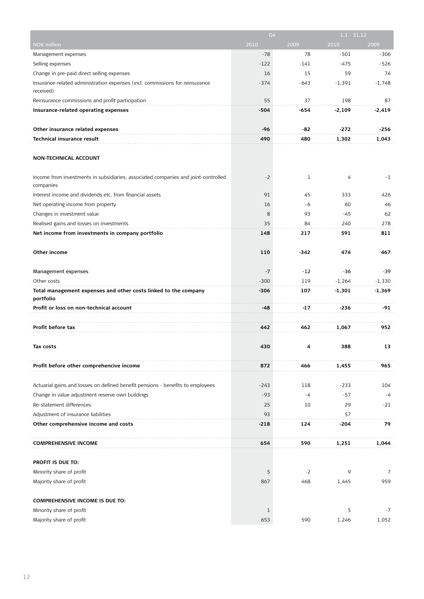|                                                                                                 | Q <sub>4</sub> |             | $1.1 - 31.12$ |          |
|-------------------------------------------------------------------------------------------------|----------------|-------------|---------------|----------|
| <b>NOK</b> million                                                                              | 2010           | 2009        | 2010          | 2009     |
| Management expenses                                                                             | $-78$          | 78          | $-501$        | $-306$   |
| Selling expenses                                                                                | $-122$         | $-141$      | -475          | $-526$   |
| Change in pre-paid direct selling expenses                                                      | 16             | 15          | 59            | 74       |
| Insurance-related administration expenses (incl. commissions for reinsurance<br>received)       | $-374$         | $-643$      | $-1,391$      | $-1,748$ |
| Reinsurance commissions and profit participation                                                | 55             | 37          | 198           | 87       |
| Insurance-related operating expenses                                                            | -504           | -654        | $-2,109$      | $-2,419$ |
|                                                                                                 |                |             |               |          |
| Other insurance related expenses                                                                | $-96$          | -82         | $-272$        | $-256$   |
| <b>Technical insurance result</b>                                                               | 490            | 480         | 1,302         | 1,043    |
|                                                                                                 |                |             |               |          |
| <b>NON-TECHNICAL ACCOUNT</b>                                                                    |                |             |               |          |
| Income from investments in subsidiaries, associated companies and joint-controlled<br>companies | $-2$           | $\mathbf 1$ | 4             | $-1$     |
| Interest income and dividends etc. from financial assets                                        | 91             | 45          | 333           | 426      |
| Net operating income from property                                                              | 16             | -6          | 60            | 46       |
| Changes in investment value                                                                     | 8              | 93          | -45           | 62       |
| Realised gains and losses on investments                                                        | 35             | 84          | 240           | 278      |
| Net income from investments in company portfolio                                                | 148            | 217         | 591           | 811      |
|                                                                                                 |                |             |               |          |
| Other income                                                                                    | 110            | -342        | 474           | 467      |
| Management expenses                                                                             | $-7$           | $-12$       | $-36$         | $-39$    |
| Other costs                                                                                     | $-300$         | 119         | $-1,264$      | $-1,330$ |
| Total management expenses and other costs linked to the company                                 | -306           | 107         | $-1,301$      | $-1,369$ |
| portfolio                                                                                       |                |             |               |          |
| Profit or loss on non-technical account                                                         | -48            | -17         | $-236$        | -91      |
|                                                                                                 |                |             |               |          |
| Profit before tax                                                                               | 442            | 462         | 1,067         | 952      |
| Tax costs                                                                                       | 430            | 4           | 388           | 13       |
| Profit before other comprehencive income                                                        | 872            | 466         | 1,455         | 965      |
|                                                                                                 |                |             |               |          |
| Actuarial gains and losses on defined benefit pensions - benefits to employees                  | $-243$         | 118         | $-233$        | 104      |
| Change in value adjustment reserve own buildings                                                | -93            | -4          | $-57$         | -4       |
| Re-statement differences                                                                        | 25             | 10          | 29            | $-21$    |
| Adjustment of insurance liabilities                                                             | 93             |             | 57            |          |
| Other comprehensive income and costs                                                            | $-218$         | 124         | $-204$        | 79       |
|                                                                                                 |                |             |               |          |
| <b>COMPREHENSIVE INCOME</b>                                                                     | 654            | 590         | 1,251         | 1,044    |
|                                                                                                 |                |             |               |          |
| PROFIT IS DUE TO:                                                                               |                |             |               |          |
| Minority share of profit                                                                        | 5              | $-2$        | 9             | 7        |
| Majority share of profit                                                                        | 867            | 468         | 1,445         | 959      |
|                                                                                                 |                |             |               |          |
| <b>COMPREHENSIVE INCOME IS DUE TO:</b>                                                          |                |             |               |          |
| Minority share of profit                                                                        | 1              |             | 5             | -7       |
| Majority share of profit                                                                        | 653            | 590         | 1,246         | 1,052    |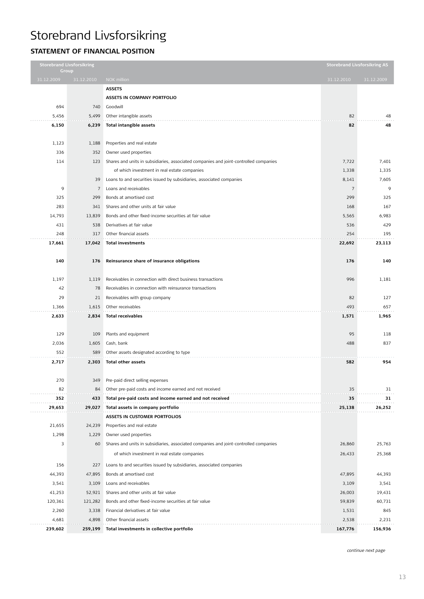# Storebrand Livsforsikring

# **Statement of financial position**

|            | <b>Storebrand Livsforsikring</b><br>Group |                                                                                       |                | <b>Storebrand Livsforsikring AS</b> |
|------------|-------------------------------------------|---------------------------------------------------------------------------------------|----------------|-------------------------------------|
| 31.12.2009 | 31.12.2010                                | NOK million                                                                           | 31.12.2010     | 31.12.2009                          |
|            |                                           | <b>ASSETS</b>                                                                         |                |                                     |
|            |                                           | ASSETS IN COMPANY PORTFOLIO                                                           |                |                                     |
| 694        | 740                                       | Goodwill                                                                              |                |                                     |
| 5,456      | 5,499                                     | Other intangible assets                                                               | 82             | 48                                  |
| 6,150      | 6,239                                     | <b>Total intangible assets</b>                                                        | 82             | 48                                  |
|            |                                           |                                                                                       |                |                                     |
| 1,123      | 1,188                                     | Properties and real estate                                                            |                |                                     |
| 336        | 352                                       | Owner used properties                                                                 |                |                                     |
| 114        | 123                                       | Shares and units in subsidiaries, associated companies and joint-controlled companies | 7,722          | 7,401                               |
|            |                                           | of which investment in real estate companies                                          | 1,338          | 1,335                               |
|            | 39                                        | Loans to and securities issued by subsidiaries, associated companies                  | 8,141          | 7,605                               |
| 9          | $\overline{7}$                            | Loans and receivables                                                                 | $\overline{7}$ | 9                                   |
| 325        | 299                                       | Bonds at amortised cost                                                               | 299            | 325                                 |
| 283        | 341                                       | Shares and other units at fair value                                                  | 168            | 167                                 |
| 14,793     | 13,839                                    | Bonds and other fixed-income securities at fair value                                 | 5,565          | 6,983                               |
| 431        | 538                                       | Derivatives at fair value                                                             | 536            | 429                                 |
| 248        | 317                                       | Other financial assets                                                                | 254            | 195                                 |
| 17,661     | 17,042                                    | <b>Total investments</b>                                                              | 22,692         | 23,113                              |
|            |                                           |                                                                                       |                |                                     |
| 140        | 176                                       | Reinsurance share of insurance obligations                                            | 176            | 140                                 |
|            |                                           |                                                                                       |                |                                     |
| 1,197      | 1,119                                     | Receivables in connection with direct business transactions                           | 996            | 1,181                               |
| 42         | 78                                        | Receivables in connection with reinsurance transactions                               |                |                                     |
| 29         | 21                                        | Receivables with group company                                                        | 82             | 127                                 |
| 1,366      | 1,615                                     | Other receivables                                                                     | 493            | 657                                 |
| 2,633      | 2,834                                     | <b>Total receivables</b>                                                              | 1,571          | 1,965                               |
|            |                                           |                                                                                       |                |                                     |
| 129        | 109                                       | Plants and equipment                                                                  | 95             | 118                                 |
| 2,036      | 1,605                                     | Cash, bank                                                                            | 488            | 837                                 |
| 552        | 589                                       | Other assets designated according to type                                             |                |                                     |
| 2,717      | 2,303                                     | <b>Total other assets</b>                                                             | 582            | 954                                 |
|            |                                           |                                                                                       |                |                                     |
| 270        | 349                                       | Pre-paid direct selling expenses                                                      |                |                                     |
| 82         | 84                                        | Other pre-paid costs and income earned and not received                               | 35             | 31                                  |
| 352        | 433                                       | Total pre-paid costs and income earned and not received                               | 35             | 31                                  |
| 29,653     | 29,027                                    | Total assets in company portfolio                                                     | 25,138         | 26,252                              |
|            |                                           | ASSETS IN CUSTOMER PORTFOLIOS                                                         |                |                                     |
| 21,655     | 24,239                                    | Properties and real estate                                                            |                |                                     |
| 1,298      | 1,229                                     | Owner used properties                                                                 |                |                                     |
| 3          | 60                                        | Shares and units in subsidiaries, associated companies and joint-controlled companies | 26,860         | 25,763                              |
|            |                                           | of which investment in real estate companies                                          | 26,433         | 25,368                              |
| 156        | 227                                       | Loans to and securities issued by subsidiaries, associated companies                  |                |                                     |
| 44,393     | 47,895                                    | Bonds at amortised cost                                                               | 47,895         | 44,393                              |
| 3,541      | 3,109                                     | Loans and receivables                                                                 | 3,109          | 3,541                               |
| 41,253     | 52,921                                    | Shares and other units at fair value                                                  | 26,003         | 19,431                              |
| 120,361    | 121,282                                   | Bonds and other fixed-income securities at fair value                                 | 59,839         | 60,731                              |
| 2,260      | 3,338                                     | Financial derivatives at fair value                                                   | 1,531          | 845                                 |
| 4,681      | 4,898                                     | Other financial assets                                                                | 2,538          | 2,231                               |
| 239,602    | 259,199                                   | Total investments in collective portfolio                                             | 167,776        | 156,936                             |

*continue next page*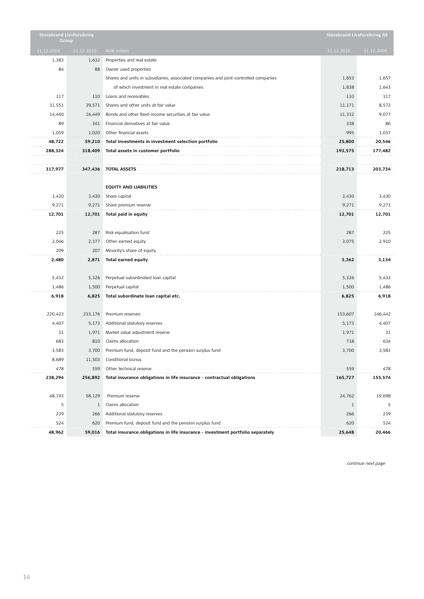|            | <b>Storebrand Livsforsikring</b><br>Group |                                                                                       | <b>Storebrand Livsforsikring AS</b> |            |
|------------|-------------------------------------------|---------------------------------------------------------------------------------------|-------------------------------------|------------|
| 31.12.2009 | 31.12.2010                                | NOK million                                                                           | 31.12.2010                          | 31.12.2009 |
| 1,383      | 1,632                                     | Properties and real estate                                                            |                                     |            |
| 84         | 88                                        | Owner used properties                                                                 |                                     |            |
|            |                                           | Shares and units in subsidiaries, associated companies and joint-controlled companies | 1,853                               | 1,657      |
|            |                                           | of which investment in real estate companies                                          | 1,838                               | 1,643      |
| 117        | 110                                       | Loans and receivables                                                                 | 110                                 | 117        |
| 31,551     | 39,571                                    | Shares and other units at fair value                                                  | 11,171                              | 8,572      |
| 14,440     | 16,449                                    | Bonds and other fixed-income securities at fair value                                 | 11,332                              | 9,077      |
| 89         | 341                                       | Financial derivatives at fair value                                                   | 338                                 | 86         |
| 1,059      | 1,020                                     | Other financial assets                                                                | 995                                 | 1,037      |
| 48,722     | 59,210                                    | Total investments in investment selection portfolio                                   | 25,800                              | 20,546     |
| 288,324    | 318,409                                   | Total assets in customer portfolio                                                    | 193,575                             | 177,482    |
|            |                                           |                                                                                       |                                     |            |
| 317,977    | 347,436                                   | <b>TOTAL ASSETS</b>                                                                   | 218,713                             | 203,734    |
|            |                                           |                                                                                       |                                     |            |
|            |                                           | <b>EQUITY AND LIABILITIES</b>                                                         |                                     |            |
| 3,430      | 3,430                                     | Share capital                                                                         | 3,430                               | 3,430      |
| 9,271      | 9,271                                     | Share premium reserve                                                                 | 9,271                               | 9,271      |
| 12,701     | 12,701                                    | Total paid in equity                                                                  | 12,701                              | 12,701     |
|            |                                           |                                                                                       |                                     |            |
| 225        | 287                                       | Risk equalisation fund                                                                | 287                                 | 225        |
| 2,046      | 2,377                                     | Other earned equity                                                                   | 3,075                               | 2,910      |
| 209        | 207                                       | Minority's share of equity                                                            |                                     |            |
| 2,480      | 2,871                                     | <b>Total earned equity</b>                                                            | 3,362                               | 3,134      |
|            |                                           |                                                                                       |                                     |            |
| 5,432      | 5,326                                     | Perpetual subordinated loan capital                                                   | 5,326                               | 5,432      |
| 1,486      | 1,500                                     | Perpetual capital                                                                     | 1,500                               | 1,486      |
| 6,918      | 6,825                                     | Total subordinate loan capital etc.                                                   | 6,825                               | 6,918      |
|            |                                           |                                                                                       |                                     |            |
| 220,423    | 233,176                                   | Premium reserves                                                                      | 153,607                             | 146,442    |
| 4,407      | 5,173                                     | Additional statutory reserves                                                         | 5,173                               | 4,407      |
| 31         | 1,971                                     | Market value adjustment reserve                                                       | 1,971                               | 31         |
| 683        | 810                                       | Claims allocation                                                                     | 718                                 | 634        |
| 3,583      | 3,700                                     | Premium fund, deposit fund and the pension surplus fund                               | 3,700                               | 3,583      |
| 8,689      | 11,503                                    | Conditional bonus                                                                     |                                     |            |
| 478        | 559                                       | Other technical reserve                                                               | 559                                 | 478        |
| 238,294    | 256,892                                   | Total insurance obligations in life insurance - contractual obligations               | 165,727                             | 155,574    |
|            |                                           |                                                                                       |                                     |            |
| 48,193     | 58,129                                    | Premium reserve                                                                       | 24,762                              | 19,698     |
| 5          | 1                                         | Claims allocation                                                                     | $\mathbf{1}$                        | 5          |
| 239        | 266                                       | Additional statutory reserves                                                         | 266                                 | 239        |
| 524        | 620                                       | Premium fund, deposit fund and the pension surplus fund                               | 620                                 | 524        |
| 48,962     | 59,016                                    | Total insurance obligations in life insurance - investment portfolio separately       | 25,648                              | 20,466     |

*continue next page*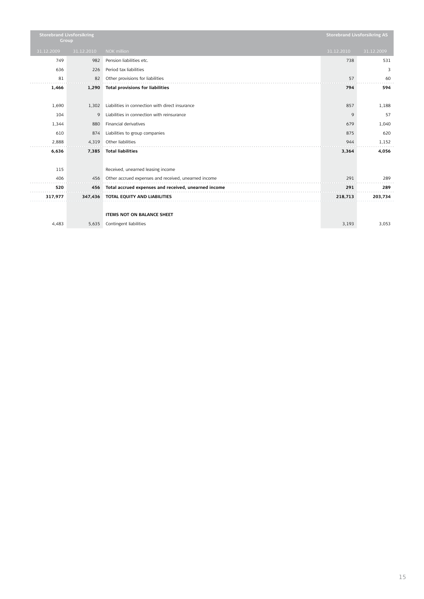| <b>Storebrand Livsforsikring</b><br>Group |            |                                                      | <b>Storebrand Livsforsikring AS</b> |            |
|-------------------------------------------|------------|------------------------------------------------------|-------------------------------------|------------|
| 31.12.2009                                | 31.12.2010 | NOK million                                          | 31.12.2010                          | 31.12.2009 |
| 749                                       | 982        | Pension liabilities etc.                             | 738                                 | 531        |
| 636                                       | 226        | Period tax liabilities                               |                                     | 3          |
| 81                                        | 82         | Other provisions for liabilities                     | 57                                  | 60         |
| 1,466                                     | 1,290      | <b>Total provisions for liabilities</b>              | 794                                 | 594        |
| 1,690                                     | 1,302      | Liabilities in connection with direct insurance      | 857                                 | 1,188      |
| 104                                       | 9          | Liabilities in connection with reinsurance           | 9                                   | 57         |
| 1,344                                     | 880        | Financial derivatives                                | 679                                 | 1,040      |
| 610                                       | 874        | Liabilities to group companies                       | 875                                 | 620        |
| 2,888                                     | 4,319      | Other liabilities                                    | 944                                 | 1,152      |
| 6,636                                     | 7,385      | <b>Total liabilities</b>                             | 3,364                               | 4,056      |
| 115                                       |            | Received, unearned leasing income                    |                                     |            |
| 406                                       | 456        | Other accrued expenses and received, unearned income | 291                                 | 289        |
| 520                                       | 456        | Total accrued expenses and received, unearned income | 291                                 | 289        |
| 317,977                                   | 347,436    | TOTAL EQUITY AND LIABILITIES                         | 218,713                             | 203,734    |
|                                           |            | <b>ITEMS NOT ON BALANCE SHEET</b>                    |                                     |            |
| 4,483                                     | 5,635      | Contingent liabilities                               | 3,193                               | 3,053      |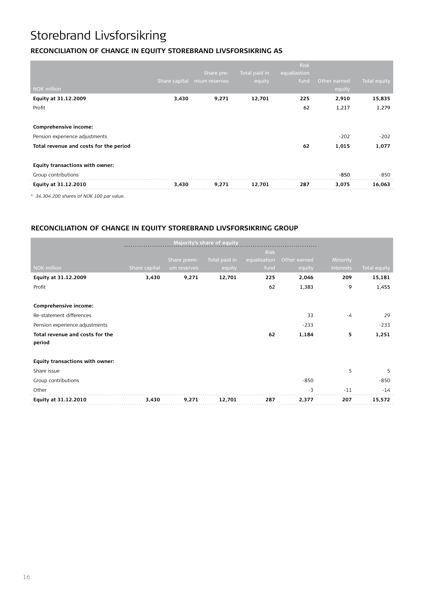# Storebrand Livsforsikring

# **RECONCILIATION OF CHANGE IN EQUITY STOREBRAND LIVSFORSIKRING AS**

|                                                  |               |               |               | <b>Risk</b>  |              |              |
|--------------------------------------------------|---------------|---------------|---------------|--------------|--------------|--------------|
|                                                  |               | Share pre-    | Total paid in | equaliastion |              |              |
|                                                  | Share capital | mium reserves | equity        | fund         | Other earned | Total equity |
| <b>NOK</b> million                               |               |               |               |              | equity       |              |
| Equity at 31.12.2009                             | 3,430         | 9,271         | 12,701        | 225          | 2,910        | 15,835       |
| Profit                                           |               |               |               | 62           | 1,217        | 1,279        |
|                                                  |               |               |               |              |              |              |
| Comprehensive income:                            |               |               |               |              |              |              |
| Pension experience adjustments                   |               |               |               |              | $-202$       | $-202$       |
| Total revenue and costs for the period           |               |               |               | 62           | 1,015        | 1,077        |
| Equity transactions with owner:                  |               |               |               |              |              |              |
| Group contributions                              |               |               |               |              | $-850$       | $-850$       |
| Equity at 31.12.2010                             | 3,430         | 9,271         | 12,701        | 287          | 3,075        | 16,063       |
| $^{1/2}$ 34.304.200 shares of NOK 100 par value. |               |               |               |              |              |              |

### **RECONCILIATION OF CHANGE IN EQUITY STOREBRAND LIVSFORSIKRING GROUP**

| Majority's share of equity      |               |              |               |              |              |                  |              |  |
|---------------------------------|---------------|--------------|---------------|--------------|--------------|------------------|--------------|--|
|                                 |               |              |               | <b>Risk</b>  |              |                  |              |  |
|                                 |               | Share premi- | Total paid in | equalisation | Other earned | Minority         |              |  |
| <b>NOK</b> million              | Share capital | um reserves  | equity        | fund         | equity       | <i>interests</i> | Total equity |  |
| Equity at 31.12.2009            | 3,430         | 9,271        | 12,701        | 225          | 2,046        | 209              | 15,181       |  |
| Profit                          |               |              |               | 62           | 1,383        | 9                | 1,455        |  |
|                                 |               |              |               |              |              |                  |              |  |
| Comprehensive income:           |               |              |               |              |              |                  |              |  |
| Re-statement differences        |               |              |               |              | 33           | -4               | 29           |  |
| Pension experience adjustments  |               |              |               |              | $-233$       |                  | $-233$       |  |
| Total revenue and costs for the |               |              |               | 62           | 1,184        | 5                | 1,251        |  |
| period                          |               |              |               |              |              |                  |              |  |
|                                 |               |              |               |              |              |                  |              |  |
| Equity transactions with owner: |               |              |               |              |              |                  |              |  |
| Share issue                     |               |              |               |              |              | 5                | 5            |  |
| Group contributions             |               |              |               |              | $-850$       |                  | $-850$       |  |
| Other                           |               |              |               |              | $-3$         | $-11$            | $-14$        |  |
| Equity at 31.12.2010            | 3,430         | 9,271        | 12,701        | 287          | 2,377        | 207              | 15,572       |  |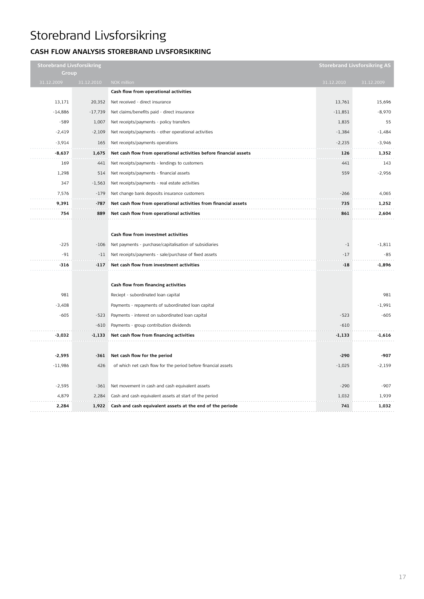# Storebrand Livsforsikring

# **Cash flow analysis Storebrand Livsforsikring**

| <b>Storebrand Livsforsikring</b> |            |                                                                   |            | <b>Storebrand Livsforsikring AS</b> |  |
|----------------------------------|------------|-------------------------------------------------------------------|------------|-------------------------------------|--|
| Group                            |            |                                                                   |            |                                     |  |
| 31.12.2009                       | 31.12.2010 | NOK million                                                       | 31.12.2010 | 31.12.2009                          |  |
|                                  |            | Cash flow from operational activities                             |            |                                     |  |
| 13,171                           | 20,352     | Net received - direct insurance                                   | 13,761     | 15,696                              |  |
| $-14,886$                        | $-17,739$  | Net claims/benefits paid - direct insurance                       | $-11,851$  | $-8,970$                            |  |
| $-589$                           | 1,007      | Net receipts/payments - policy transfers                          | 1,835      | 55                                  |  |
| $-2,419$                         | $-2,109$   | Net receipts/payments - other operational activities              | $-1,384$   | $-1,484$                            |  |
| $-3,914$                         | 165        | Net receipts/payments operations                                  | $-2,235$   | $-3,946$                            |  |
| $-8,637$                         | 1,675      | Net cash flow from operational activities before financial assets | 126        | 1,352                               |  |
| 169                              | 441        | Net receipts/payments - lendings to customers                     | 441        | 143                                 |  |
| 1,298                            | 514        | Net receipts/payments - financial assets                          | 559        | $-2,956$                            |  |
| 347                              | $-1,563$   | Net receipts/payments - real estate activities                    |            |                                     |  |
| 7,576                            | $-179$     | Net change bank deposits insurance customers                      | $-266$     | 4,065                               |  |
| 9,391                            | -787       | Net cash flow from operational activities from financial assets   | 735        | 1,252                               |  |
| 754                              | 889        | Net cash flow from operational activities                         | 861        | 2,604                               |  |
|                                  |            |                                                                   |            |                                     |  |
|                                  |            | Cash flow from investmet activities                               |            |                                     |  |
| $-225$                           | $-106$     | Net payments - purchase/capitalisation of subsidiaries            | $-1$       | $-1,811$                            |  |
| $-91$                            | $-11$      | Net receipts/payments - sale/purchase of fixed assets             | $-17$      | $-85$                               |  |
| $-316$                           | -117       | Net cash flow from investment activities                          | $-18$      | $-1,896$                            |  |
|                                  |            |                                                                   |            |                                     |  |
|                                  |            | Cash flow from financing activities                               |            |                                     |  |
| 981                              |            | Reciept - subordinated loan capital                               |            | 981                                 |  |
| $-3,408$                         |            | Payments - repayments of subordinated loan capital                |            | $-1,991$                            |  |
| $-605$                           | $-523$     | Payments - interest on subordinated loan capital                  | $-523$     | $-605$                              |  |
|                                  | $-610$     | Payments - group contribution dividends                           | $-610$     |                                     |  |
| $-3,032$                         | -1,133     | Net cash flow from financing activities                           | $-1,133$   | $-1,616$                            |  |
|                                  |            |                                                                   |            |                                     |  |
| $-2,595$                         | $-361$     | Net cash flow for the period                                      | $-290$     | $-907$                              |  |
| $-11,986$                        | 426        | of which net cash flow for the period before financial assets     | $-1,025$   | $-2,159$                            |  |
|                                  |            |                                                                   |            |                                     |  |
| $-2,595$                         | $-361$     | Net movement in cash and cash equivalent assets                   | $-290$     | $-907$                              |  |
| 4,879                            | 2,284      | Cash and cash equivalent assets at start of the period            | 1,032      | 1,939                               |  |
| 2,284                            |            | 1,922 Cash and cash equivalent assets at the end of the periode   | 741        | 1,032                               |  |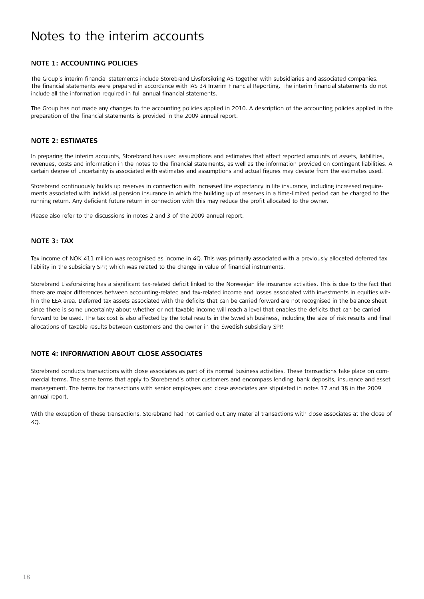### **Note 1: Accounting policies**

The Group's interim financial statements include Storebrand Livsforsikring AS together with subsidiaries and associated companies. The financial statements were prepared in accordance with IAS 34 Interim Financial Reporting. The interim financial statements do not include all the information required in full annual financial statements.

The Group has not made any changes to the accounting policies applied in 2010. A description of the accounting policies applied in the preparation of the financial statements is provided in the 2009 annual report.

### **Note 2: Estimates**

In preparing the interim accounts, Storebrand has used assumptions and estimates that affect reported amounts of assets, liabilities, revenues, costs and information in the notes to the financial statements, as well as the information provided on contingent liabilities. A certain degree of uncertainty is associated with estimates and assumptions and actual figures may deviate from the estimates used.

Storebrand continuously builds up reserves in connection with increased life expectancy in life insurance, including increased requirements associated with individual pension insurance in which the building up of reserves in a time-limited period can be charged to the running return. Any deficient future return in connection with this may reduce the profit allocated to the owner.

Please also refer to the discussions in notes 2 and 3 of the 2009 annual report.

### **Note 3: Tax**

Tax income of NOK 411 million was recognised as income in 4Q. This was primarily associated with a previously allocated deferred tax liability in the subsidiary SPP, which was related to the change in value of financial instruments.

Storebrand Livsforsikring has a significant tax-related deficit linked to the Norwegian life insurance activities. This is due to the fact that there are major differences between accounting-related and tax-related income and losses associated with investments in equities within the EEA area. Deferred tax assets associated with the deficits that can be carried forward are not recognised in the balance sheet since there is some uncertainty about whether or not taxable income will reach a level that enables the deficits that can be carried forward to be used. The tax cost is also affected by the total results in the Swedish business, including the size of risk results and final allocations of taxable results between customers and the owner in the Swedish subsidiary SPP.

### **Note 4: Information about close associates**

Storebrand conducts transactions with close associates as part of its normal business activities. These transactions take place on commercial terms. The same terms that apply to Storebrand's other customers and encompass lending, bank deposits, insurance and asset management. The terms for transactions with senior employees and close associates are stipulated in notes 37 and 38 in the 2009 annual report.

With the exception of these transactions, Storebrand had not carried out any material transactions with close associates at the close of 4Q.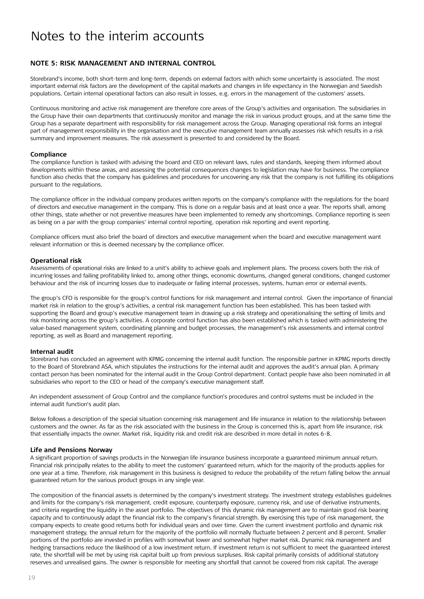### **Note 5: Risk management and internal control**

Storebrand's income, both short-term and long-term, depends on external factors with which some uncertainty is associated. The most important external risk factors are the development of the capital markets and changes in life expectancy in the Norwegian and Swedish populations. Certain internal operational factors can also result in losses, e.g. errors in the management of the customers' assets.

Continuous monitoring and active risk management are therefore core areas of the Group's activities and organisation. The subsidiaries in the Group have their own departments that continuously monitor and manage the risk in various product groups, and at the same time the Group has a separate department with responsibility for risk management across the Group. Managing operational risk forms an integral part of management responsibility in the organisation and the executive management team annually assesses risk which results in a risk summary and improvement measures. The risk assessment is presented to and considered by the Board.

#### **Compliance**

The compliance function is tasked with advising the board and CEO on relevant laws, rules and standards, keeping them informed about developments within these areas, and assessing the potential consequences changes to legislation may have for business. The compliance function also checks that the company has guidelines and procedures for uncovering any risk that the company is not fulfilling its obligations pursuant to the regulations.

The compliance officer in the individual company produces written reports on the company's compliance with the regulations for the board of directors and executive management in the company. This is done on a regular basis and at least once a year. The reports shall, among other things, state whether or not preventive measures have been implemented to remedy any shortcomings. Compliance reporting is seen as being on a par with the group companies' internal control reporting, operation risk reporting and event reporting.

Compliance officers must also brief the board of directors and executive management when the board and executive management want relevant information or this is deemed necessary by the compliance officer.

#### **Operational risk**

Assessments of operational risks are linked to a unit's ability to achieve goals and implement plans. The process covers both the risk of incurring losses and failing profitability linked to, among other things, economic downturns, changed general conditions, changed customer behaviour and the risk of incurring losses due to inadequate or failing internal processes, systems, human error or external events.

The group's CFO is responsible for the group's control functions for risk management and internal control. Given the importance of financial market risk in relation to the group's activities, a central risk management function has been established. This has been tasked with supporting the Board and group's executive management team in drawing up a risk strategy and operationalising the setting of limits and risk monitoring across the group's activities. A corporate control function has also been established which is tasked with administering the value-based management system, coordinating planning and budget processes, the management's risk assessments and internal control reporting, as well as Board and management reporting.

#### **Internal audit**

Storebrand has concluded an agreement with KPMG concerning the internal audit function. The responsible partner in KPMG reports directly to the Board of Storebrand ASA, which stipulates the instructions for the internal audit and approves the audit's annual plan. A primary contact person has been nominated for the internal audit in the Group Control department. Contact people have also been nominated in all subsidiaries who report to the CEO or head of the company's executive management staff.

An independent assessment of Group Control and the compliance function's procedures and control systems must be included in the internal audit function's audit plan.

Below follows a description of the special situation concerning risk management and life insurance in relation to the relationship between customers and the owner. As far as the risk associated with the business in the Group is concerned this is, apart from life insurance, risk that essentially impacts the owner. Market risk, liquidity risk and credit risk are described in more detail in notes 6-8.

#### **Life and Pensions Norway**

A significant proportion of savings products in the Norwegian life insurance business incorporate a guaranteed minimum annual return. Financial risk principally relates to the ability to meet the customers' guaranteed return, which for the majority of the products applies for one year at a time. Therefore, risk management in this business is designed to reduce the probability of the return falling below the annual guaranteed return for the various product groups in any single year.

The composition of the financial assets is determined by the company's investment strategy. The investment strategy establishes guidelines and limits for the company's risk management, credit exposure, counterparty exposure, currency risk, and use of derivative instruments, and criteria regarding the liquidity in the asset portfolio. The objectives of this dynamic risk management are to maintain good risk bearing capacity and to continuously adapt the financial risk to the company's financial strength. By exercising this type of risk management, the company expects to create good returns both for individual years and over time. Given the current investment portfolio and dynamic risk management strategy, the annual return for the majority of the portfolio will normally fluctuate between 2 percent and 8 percent. Smaller portions of the portfolio are invested in profiles with somewhat lower and somewhat higher market risk. Dynamic risk management and hedging transactions reduce the likelihood of a low investment return. If investment return is not sufficient to meet the guaranteed interest rate, the shortfall will be met by using risk capital built up from previous surpluses. Risk capital primarily consists of additional statutory reserves and unrealised gains. The owner is responsible for meeting any shortfall that cannot be covered from risk capital. The average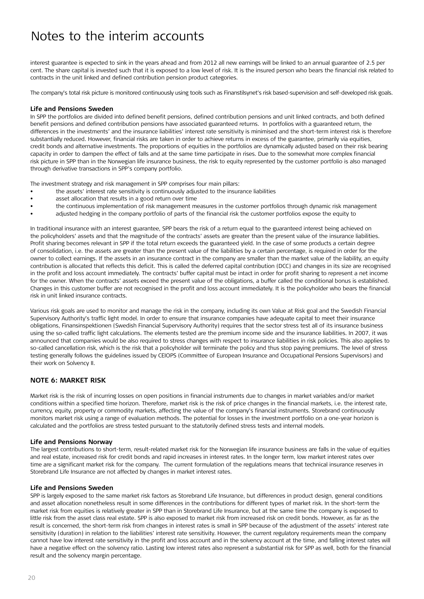interest guarantee is expected to sink in the years ahead and from 2012 all new earnings will be linked to an annual guarantee of 2.5 per cent. The share capital is invested such that it is exposed to a low level of risk. It is the insured person who bears the financial risk related to contracts in the unit linked and defined contribution pension product categories.

The company's total risk picture is monitored continuously using tools such as Finanstilsynet's risk based-supervision and self-developed risk goals.

#### **Life and Pensions Sweden**

In SPP the portfolios are divided into defined benefit pensions, defined contribution pensions and unit linked contracts, and both defined benefit pensions and defined contribution pensions have associated guaranteed returns. In portfolios with a guaranteed return, the differences in the investments' and the insurance liabilities' interest rate sensitivity is minimised and the short-term interest risk is therefore substantially reduced. However, financial risks are taken in order to achieve returns in excess of the guarantee, primarily via equities, credit bonds and alternative investments. The proportions of equities in the portfolios are dynamically adjusted based on their risk bearing capacity in order to dampen the effect of falls and at the same time participate in rises. Due to the somewhat more complex financial risk picture in SPP than in the Norwegian life insurance business, the risk to equity represented by the customer portfolio is also managed through derivative transactions in SPP's company portfolio.

The investment strategy and risk management in SPP comprises four main pillars:

- the assets' interest rate sensitivity is continuously adjusted to the insurance liabilities
- asset allocation that results in a good return over time
- the continuous implementation of risk management measures in the customer portfolios through dynamic risk management
- adjusted hedging in the company portfolio of parts of the financial risk the customer portfolios expose the equity to

In traditional insurance with an interest guarantee, SPP bears the risk of a return equal to the guaranteed interest being achieved on the policyholders' assets and that the magnitude of the contracts' assets are greater than the present value of the insurance liabilities. Profit sharing becomes relevant in SPP if the total return exceeds the guaranteed yield. In the case of some products a certain degree of consolidation, i.e. the assets are greater than the present value of the liabilities by a certain percentage, is required in order for the owner to collect earnings. If the assets in an insurance contract in the company are smaller than the market value of the liability, an equity contribution is allocated that reflects this deficit. This is called the deferred capital contribution (DCC) and changes in its size are recognised in the profit and loss account immediately. The contracts' buffer capital must be intact in order for profit sharing to represent a net income for the owner. When the contracts' assets exceed the present value of the obligations, a buffer called the conditional bonus is established. Changes in this customer buffer are not recognised in the profit and loss account immediately. It is the policyholder who bears the financial risk in unit linked insurance contracts.

Various risk goals are used to monitor and manage the risk in the company, including its own Value at Risk goal and the Swedish Financial Supervisory Authority's traffic light model. In order to ensure that insurance companies have adequate capital to meet their insurance obligations, Finansinspektionen (Swedish Financial Supervisory Authority) requires that the sector stress test all of its insurance business using the so-called traffic light calculations. The elements tested are the premium income side and the insurance liabilities. In 2007, it was announced that companies would be also required to stress changes with respect to insurance liabilities in risk policies. This also applies to so-called cancellation risk, which is the risk that a policyholder will terminate the policy and thus stop paying premiums. The level of stress testing generally follows the guidelines issued by CEIOPS (Committee of European Insurance and Occupational Pensions Supervisors) and their work on Solvency II.

### **Note 6: Market risk**

Market risk is the risk of incurring losses on open positions in financial instruments due to changes in market variables and/or market conditions within a specified time horizon. Therefore, market risk is the risk of price changes in the financial markets, i.e. the interest rate, currency, equity, property or commodity markets, affecting the value of the company's financial instruments. Storebrand continuously monitors market risk using a range of evaluation methods. The potential for losses in the investment portfolio on a one-year horizon is calculated and the portfolios are stress tested pursuant to the statutorily defined stress tests and internal models.

### **Life and Pensions Norway**

The largest contributions to short-term, result-related market risk for the Norwegian life insurance business are falls in the value of equities and real estate, increased risk for credit bonds and rapid increases in interest rates. In the longer term, low market interest rates over time are a significant market risk for the company. The current formulation of the regulations means that technical insurance reserves in Storebrand Life Insurance are not affected by changes in market interest rates.

### **Life and Pensions Sweden**

SPP is largely exposed to the same market risk factors as Storebrand Life Insurance, but differences in product design, general conditions and asset allocation nonetheless result in some differences in the contributions for different types of market risk. In the short-term the market risk from equities is relatively greater in SPP than in Storebrand Life Insurance, but at the same time the company is exposed to little risk from the asset class real estate. SPP is also exposed to market risk from increased risk on credit bonds. However, as far as the result is concerned, the short-term risk from changes in interest rates is small in SPP because of the adjustment of the assets' interest rate sensitivity (duration) in relation to the liabilities' interest rate sensitivity. However, the current regulatory requirements mean the company cannot have low interest rate sensitivity in the profit and loss account and in the solvency account at the time, and falling interest rates will have a negative effect on the solvency ratio. Lasting low interest rates also represent a substantial risk for SPP as well, both for the financial result and the solvency margin percentage.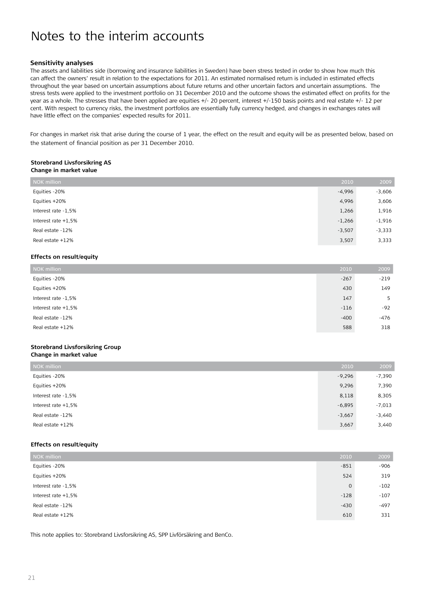#### **Sensitivity analyses**

The assets and liabilities side (borrowing and insurance liabilities in Sweden) have been stress tested in order to show how much this can affect the owners' result in relation to the expectations for 2011. An estimated normalised return is included in estimated effects throughout the year based on uncertain assumptions about future returns and other uncertain factors and uncertain assumptions. The stress tests were applied to the investment portfolio on 31 December 2010 and the outcome shows the estimated effect on profits for the year as a whole. The stresses that have been applied are equities +/- 20 percent, interest +/-150 basis points and real estate +/- 12 per cent. With respect to currency risks, the investment portfolios are essentially fully currency hedged, and changes in exchanges rates will have little effect on the companies' expected results for 2011.

For changes in market risk that arise during the course of 1 year, the effect on the result and equity will be as presented below, based on the statement of financial position as per 31 December 2010.

#### **Storebrand Livsforsikring AS Change in market value**

| <b>NOK</b> million    | 2010     | 2009     |
|-----------------------|----------|----------|
| Equities -20%         | $-4,996$ | $-3,606$ |
| Equities +20%         | 4,996    | 3,606    |
| Interest rate -1,5%   | 1,266    | 1,916    |
| Interest rate $+1.5%$ | $-1,266$ | $-1,916$ |
| Real estate -12%      | $-3,507$ | $-3,333$ |
| Real estate +12%      | 3,507    | 3,333    |

### **Effects on result/equity**

| NOK million           | 2010   | 2009   |
|-----------------------|--------|--------|
| Equities -20%         | $-267$ | $-219$ |
| Equities +20%         | 430    | 149    |
| Interest rate -1,5%   | 147    | 5      |
| Interest rate $+1.5%$ | $-116$ | $-92$  |
| Real estate -12%      | $-400$ | -476   |
| Real estate +12%      | 588    | 318    |

#### **Storebrand Livsforsikring Group Change in market value**

| NOK million           | 2010     | 2009     |
|-----------------------|----------|----------|
| Equities -20%         | $-9,296$ | -7,390   |
| Equities +20%         | 9,296    | 7,390    |
| Interest rate -1,5%   | 8,118    | 8,305    |
| Interest rate $+1.5%$ | $-6,895$ | $-7,013$ |
| Real estate -12%      | $-3,667$ | $-3,440$ |
| Real estate +12%      | 3,667    | 3,440    |

#### **Effects on result/equity**

| NOK million           | 2010        | 2009   |
|-----------------------|-------------|--------|
| Equities -20%         | $-851$      | $-906$ |
| Equities +20%         | 524         | 319    |
| Interest rate -1,5%   | $\mathbf 0$ | $-102$ |
| Interest rate $+1.5%$ | $-128$      | $-107$ |
| Real estate -12%      | $-430$      | $-497$ |
| Real estate +12%      | 610         | 331    |

This note applies to: Storebrand Livsforsikring AS, SPP Livförsäkring and BenCo.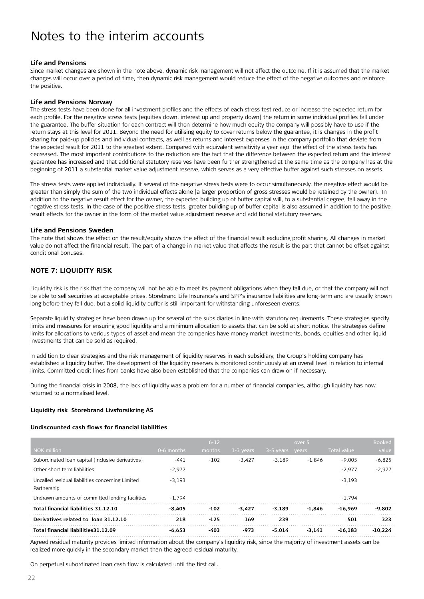#### **Life and Pensions**

Since market changes are shown in the note above, dynamic risk management will not affect the outcome. If it is assumed that the market changes will occur over a period of time, then dynamic risk management would reduce the effect of the negative outcomes and reinforce the positive.

#### **Life and Pensions Norway**

The stress tests have been done for all investment profiles and the effects of each stress test reduce or increase the expected return for each profile. For the negative stress tests (equities down, interest up and property down) the return in some individual profiles fall under the guarantee. The buffer situation for each contract will then determine how much equity the company will possibly have to use if the return stays at this level for 2011. Beyond the need for utilising equity to cover returns below the guarantee, it is changes in the profit sharing for paid-up policies and individual contracts, as well as returns and interest expenses in the company portfolio that deviate from the expected result for 2011 to the greatest extent. Compared with equivalent sensitivity a year ago, the effect of the stress tests has decreased. The most important contributions to the reduction are the fact that the difference between the expected return and the interest guarantee has increased and that additional statutory reserves have been further strengthened at the same time as the company has at the beginning of 2011 a substantial market value adjustment reserve, which serves as a very effective buffer against such stresses on assets.

The stress tests were applied individually. If several of the negative stress tests were to occur simultaneously, the negative effect would be greater than simply the sum of the two individual effects alone (a larger proportion of gross stresses would be retained by the owner). In addition to the negative result effect for the owner, the expected building up of buffer capital will, to a substantial degree, fall away in the negative stress tests. In the case of the positive stress tests, greater building up of buffer capital is also assumed in addition to the positive result effects for the owner in the form of the market value adjustment reserve and additional statutory reserves.

#### **Life and Pensions Sweden**

The note that shows the effect on the result/equity shows the effect of the financial result excluding profit sharing. All changes in market value do not affect the financial result. The part of a change in market value that affects the result is the part that cannot be offset against conditional bonuses.

### **Note 7: Liquidity risk**

Liquidity risk is the risk that the company will not be able to meet its payment obligations when they fall due, or that the company will not be able to sell securities at acceptable prices. Storebrand Life Insurance's and SPP's insurance liabilities are long-term and are usually known long before they fall due, but a solid liquidity buffer is still important for withstanding unforeseen events.

Separate liquidity strategies have been drawn up for several of the subsidiaries in line with statutory requirements. These strategies specify limits and measures for ensuring good liquidity and a minimum allocation to assets that can be sold at short notice. The strategies define limits for allocations to various types of asset and mean the companies have money market investments, bonds, equities and other liquid investments that can be sold as required.

In addition to clear strategies and the risk management of liquidity reserves in each subsidiary, the Group's holding company has established a liquidity buffer. The development of the liquidity reserves is monitored continuously at an overall level in relation to internal limits. Committed credit lines from banks have also been established that the companies can draw on if necessary.

During the financial crisis in 2008, the lack of liquidity was a problem for a number of financial companies, although liquidity has now returned to a normalised level.

#### **Liquidity risk Storebrand Livsforsikring AS**

#### **Undiscounted cash flows for financial liabilities**

|                                                                 |            | $6 - 12$ |             |           | over 5   |                    | <b>Booked</b> |
|-----------------------------------------------------------------|------------|----------|-------------|-----------|----------|--------------------|---------------|
| <b>NOK million</b>                                              | 0-6 months | months   | $1-3$ years | 3-5 years | vears    | <b>Total value</b> | value         |
| Subordinated Ioan capital (inclusive derivatives)               | -441       | $-102$   | $-3.427$    | $-3.189$  | -1.846   | $-9.005$           | $-6,825$      |
| Other short term liabilities                                    | $-2,977$   |          |             |           |          | $-2.977$           | $-2,977$      |
| Uncalled residual liabilities concerning Limited<br>Partnership | $-3.193$   |          |             |           |          | $-3.193$           |               |
| Undrawn amounts of committed lending facilities                 | -1.794     |          |             |           |          | -1.794             |               |
| Total financial liabilities 31.12.10                            | $-8.405$   | $-102$   | $-3.427$    | $-3.189$  | -1.846   | $-16.969$          | $-9.802$      |
| Derivatives related to loan 31.12.10                            | 218        | $-125$   | 169         | 239       |          | 501                | 323           |
| Total financial liabilities 31.12.09                            | $-6.653$   | $-403$   | $-973$      | $-5.014$  | $-3.141$ | $-16.183$          | $-10.224$     |

Agreed residual maturity provides limited information about the company's liquidity risk, since the majority of investment assets can be realized more quickly in the secondary market than the agreed residual maturity.

On perpetual subordinated loan cash flow is calculated until the first call.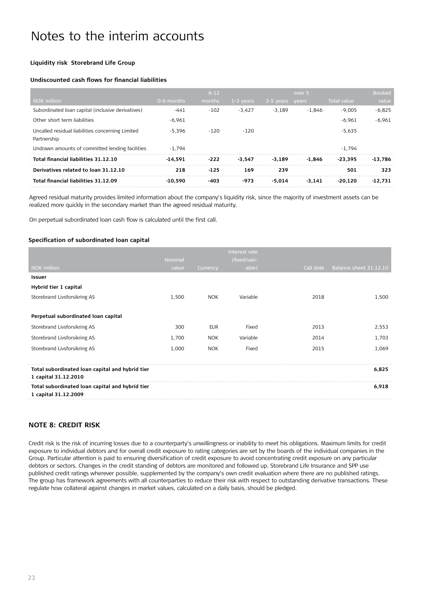#### **Liquidity risk Storebrand Life Group**

#### **Undiscounted cash flows for financial liabilities**

|                                                                 |            | $6 - 12$ |           |                 | over 5   |             | <b>Booked</b> |
|-----------------------------------------------------------------|------------|----------|-----------|-----------------|----------|-------------|---------------|
| NOK million                                                     | 0-6 months | months   | 1-3 years | 3-5 years years |          | Total value | value         |
| Subordinated Ioan capital (inclusive derivatives)               | -441       | $-102$   | $-3.427$  | $-3.189$        | -1.846   | $-9.005$    | $-6,825$      |
| Other short term liabilities                                    | $-6,961$   |          |           |                 |          | $-6.961$    | $-6,961$      |
| Uncalled residual liabilities concerning Limited<br>Partnership | $-5.396$   | $-120$   | $-120$    |                 |          | $-5.635$    |               |
| Undrawn amounts of committed lending facilities                 | $-1.794$   |          |           |                 |          | -1.794      |               |
| Total financial liabilities 31.12.10                            | $-14.591$  | $-222$   | $-3.547$  | $-3.189$        | -1.846   | $-23.395$   | $-13.786$     |
| Derivatives related to loan 31.12.10                            | 218        | $-125$   | 169       | 239             |          | 501         | 323           |
| Total financial liabilities 31.12.09                            | $-10.590$  | $-403$   | $-973$    | -5.014          | $-3.141$ | $-20.120$   | -12.731       |

Agreed residual maturity provides limited information about the company's liquidity risk, since the majority of investment assets can be realized more quickly in the secondary market than the agreed residual maturity.

On perpetual subordinated loan cash flow is calculated until the first call.

#### **Specification of subordinated loan capital**

|                                                 | Nominal |            | Interest rate<br>(fixed/vari- |           |                        |
|-------------------------------------------------|---------|------------|-------------------------------|-----------|------------------------|
| <b>NOK</b> million                              | value   | Currency   | able)                         | Call date | Balance sheet 31.12.10 |
| <b>Issuer</b>                                   |         |            |                               |           |                        |
| Hybrid tier 1 capital                           |         |            |                               |           |                        |
| Storebrand Livsforsikring AS                    | 1,500   | <b>NOK</b> | Variable                      | 2018      | 1,500                  |
|                                                 |         |            |                               |           |                        |
| Perpetual subordinated loan capital             |         |            |                               |           |                        |
| Storebrand Livsforsikring AS                    | 300     | <b>EUR</b> | Fixed                         | 2013      | 2,553                  |
| Storebrand Livsforsikring AS                    | 1,700   | <b>NOK</b> | Variable                      | 2014      | 1,703                  |
| Storebrand Livsforsikring AS                    | 1,000   | <b>NOK</b> | Fixed                         | 2015      | 1,069                  |
|                                                 |         |            |                               |           |                        |
| Total subordinated loan capital and hybrid tier |         |            |                               |           | 6,825                  |
| 1 capital 31.12.2010                            |         |            |                               |           |                        |
| Total subordinated loan capital and hybrid tier |         |            |                               |           | 6,918                  |
| 1 capital 31.12.2009                            |         |            |                               |           |                        |

### **Note 8: Credit risk**

Credit risk is the risk of incurring losses due to a counterparty's unwillingness or inability to meet his obligations. Maximum limits for credit exposure to individual debtors and for overall credit exposure to rating categories are set by the boards of the individual companies in the Group. Particular attention is paid to ensuring diversification of credit exposure to avoid concentrating credit exposure on any particular debtors or sectors. Changes in the credit standing of debtors are monitored and followed up. Storebrand Life Insurance and SPP use published credit ratings wherever possible, supplemented by the company's own credit evaluation where there are no published ratings. The group has framework agreements with all counterparties to reduce their risk with respect to outstanding derivative transactions. These regulate how collateral against changes in market values, calculated on a daily basis, should be pledged.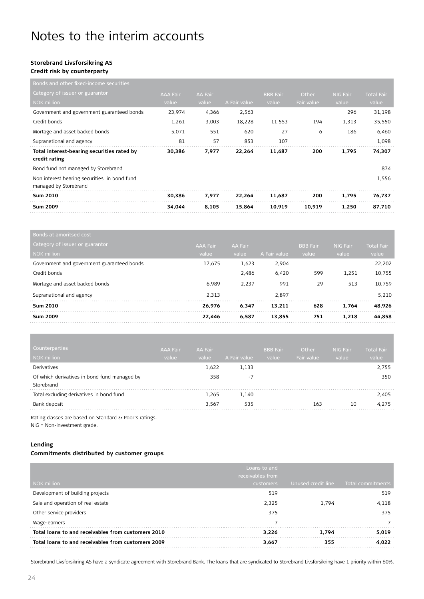## **Storebrand Livsforsikring AS**

### **Credit risk by counterparty**

| Bonds and other fixed-income securities                               |                 |         |              |                 |            |                 |                   |
|-----------------------------------------------------------------------|-----------------|---------|--------------|-----------------|------------|-----------------|-------------------|
| Category of issuer or guarantor                                       | <b>AAA Fair</b> | AA Fair |              | <b>BBB</b> Fair | Other      | <b>NIG Fair</b> | <b>Total Fair</b> |
| NOK million                                                           | value           | value   | A Fair value | value           | Fair value | value           | value             |
| Government and government guaranteed bonds                            | 23,974          | 4,366   | 2,563        |                 |            | 296             | 31,198            |
| Credit bonds                                                          | 1,261           | 3,003   | 18,228       | 11,553          | 194        | 1,313           | 35,550            |
| Mortage and asset backed bonds                                        | 5,071           | 551     | 620          | 27              | 6          | 186             | 6,460             |
| Supranational and agency                                              | 81              | 57      | 853          | 107             |            |                 | 1,098             |
| Total interest-bearing securities rated by<br>credit rating           | 30.386          | 7,977   | 22,264       | 11,687          | 200        | 1,795           | 74,307            |
| Bond fund not managed by Storebrand                                   |                 |         |              |                 |            |                 | 874               |
| Non interest bearing securities in bond fund<br>managed by Storebrand |                 |         |              |                 |            |                 | 1,556             |
| <b>Sum 2010</b>                                                       | 30,386          | 7,977   | 22,264       | 11,687          | 200        | 1,795           | 76,737            |
| <b>Sum 2009</b>                                                       | 34.044          | 8,105   | 15,864       | 10,919          | 10,919     | 1,250           | 87,710            |

| <b>Bonds at amoritsed cost</b>             |                 |         |              |                 |                 |                   |
|--------------------------------------------|-----------------|---------|--------------|-----------------|-----------------|-------------------|
| Category of issuer or guarantor            | <b>AAA Fair</b> | AA Fair |              | <b>BBB</b> Fair | <b>NIG Fair</b> | <b>Total Fair</b> |
| NOK million                                | value           | value   | A Fair value | value           | value           | value             |
| Government and government guaranteed bonds | 17.675          | 1,623   | 2.904        |                 |                 | 22,202            |
| Credit bonds                               |                 | 2.486   | 6,420        | 599             | 1,251           | 10,755            |
| Mortage and asset backed bonds             | 6.989           | 2.237   | 991          | 29              | 513             | 10.759            |
| Supranational and agency                   | 2.313           |         | 2.897        |                 |                 | 5.210             |
| <b>Sum 2010</b>                            | 26.976          | 6.347   | 13.211       | 628             | 1.764           | 48.926            |
| <b>Sum 2009</b>                            | 22.446          | 6,587   | 13.855       | 751             | 1,218           | 44.858            |

| <b>Counterparties</b><br>NOK million                       | <b>AAA Fair</b><br>value | AA Fair<br>value | A Fair value | <b>BBB</b> Fair<br>value | Other<br>Fair value | <b>NIG Fair</b><br>value | <b>Total Fair</b><br>value |
|------------------------------------------------------------|--------------------------|------------------|--------------|--------------------------|---------------------|--------------------------|----------------------------|
| <b>Derivatives</b>                                         |                          | 1.622            | 1.133        |                          |                     |                          | 2.755                      |
| Of which derivatives in bond fund managed by<br>Storebrand |                          | 358              | - 7          |                          |                     |                          | 350                        |
| Total excluding derivatives in bond fund                   |                          | 1.265            | 1.140        |                          |                     |                          | 2.405                      |
| Bank deposit                                               |                          | 3.567            | 535          |                          | 163                 | 10                       | 4.275                      |

Rating classes are based on Standard & Poor's ratings.

NIG = Non-investment grade.

#### **Lending**

### **Commitments distributed by customer groups**

|                                                    | Loans to and<br>receivables from |                    |                   |
|----------------------------------------------------|----------------------------------|--------------------|-------------------|
| NOK million                                        | customers                        | Unused credit line | Total commitments |
| Development of building projects                   | 519                              |                    | 519               |
| Sale and operation of real estate                  | 2.325                            | 1.794              | 4,118             |
| Other service providers                            | 375                              |                    | 375               |
| Wage-earners                                       |                                  |                    |                   |
| Total loans to and receivables from customers 2010 | 3.226                            | 1.794              | 5.019             |
| Total loans to and receivables from customers 2009 | 3.667                            | 355                | 4.022             |

Storebrand Livsforsikring AS have a syndicate agreement with Storebrand Bank. The loans that are syndicated to Storebrand Livsforsikring have 1 priority within 60%.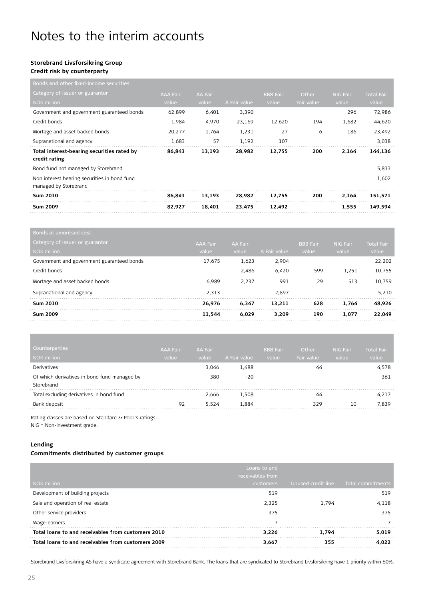# **Storebrand Livsforsikring Group**

### **Credit risk by counterparty**

| Bonds and other fixed-income securities                               |                 |                |              |                 |            |                 |                   |
|-----------------------------------------------------------------------|-----------------|----------------|--------------|-----------------|------------|-----------------|-------------------|
| Category of issuer or guarantor                                       | <b>AAA Fair</b> | <b>AA Fair</b> |              | <b>BBB</b> Fair | Other      | <b>NIG Fair</b> | <b>Total Fair</b> |
| <b>NOK</b> million                                                    | value           | value          | A Fair value | value           | Fair value | value           | value             |
| Government and government guaranteed bonds                            | 62,899          | 6,401          | 3,390        |                 |            | 296             | 72,986            |
| Credit bonds                                                          | 1,984           | 4,970          | 23,169       | 12,620          | 194        | 1,682           | 44,620            |
| Mortage and asset backed bonds                                        | 20,277          | 1,764          | 1,231        | 27              | 6          | 186             | 23,492            |
| Supranational and agency                                              | 1,683           | 57             | 1,192        | 107             |            |                 | 3,038             |
| Total interest-bearing securities rated by<br>credit rating           | 86,843          | 13,193         | 28,982       | 12,755          | 200        | 2,164           | 144,136           |
| Bond fund not managed by Storebrand                                   |                 |                |              |                 |            |                 | 5,833             |
| Non interest bearing securities in bond fund<br>managed by Storebrand |                 |                |              |                 |            |                 | 1,602             |
| <b>Sum 2010</b>                                                       | 86,843          | 13,193         | 28,982       | 12,755          | 200        | 2,164           | 151,571           |
| <b>Sum 2009</b>                                                       | 82,927          | 18,401         | 23,475       | 12,492          |            | 1,555           | 149,594           |

| Bonds at amoritsed cost                                   |                 |         |              |                 |                 |            |
|-----------------------------------------------------------|-----------------|---------|--------------|-----------------|-----------------|------------|
| Category of issuer or guarantor                           | <b>AAA</b> Fair | AA Fair |              | <b>BBB</b> Fair | <b>NIG Fair</b> | Total Fair |
| $\overline{\mathsf{NOK}}$ million $\overline{\mathsf{N}}$ | value           | value   | A Fair value | value           | value           | value      |
| Government and government guaranteed bonds                | 17.675          | 1,623   | 2.904        |                 |                 | 22,202     |
| Credit bonds                                              |                 | 2.486   | 6,420        | 599             | 1,251           | 10,755     |
| Mortage and asset backed bonds                            | 6.989           | 2.237   | 991          | 29              | 513             | 10.759     |
| Supranational and agency                                  | 2.313           |         | 2.897        |                 |                 | 5.210      |
| <b>Sum 2010</b>                                           | 26.976          | 6.347   | 13.211       | 628             | 1.764           | 48.926     |
| <b>Sum 2009</b>                                           | 11.544          | 6.029   | 3.209        | 190             | 1.077           | 22.049     |

| <b>Counterparties</b><br>NOK million                       | <b>AAA Fair</b><br>value | AA Fair<br>value | A Fair value | <b>BBB</b> Fair<br>value | Other<br>Fair value | <b>NIG Fair</b><br>value | <b>Total Fair</b><br>value |
|------------------------------------------------------------|--------------------------|------------------|--------------|--------------------------|---------------------|--------------------------|----------------------------|
| <b>Derivatives</b>                                         |                          | 3.046            | 1,488        |                          | 44                  |                          | 4,578                      |
| Of which derivatives in bond fund managed by<br>Storebrand |                          | 380              | $-20$        |                          |                     |                          | 361                        |
| Total excluding derivatives in bond fund                   |                          | 2.666            | 1.508        |                          | 44                  |                          | 4.217                      |
| Bank deposit                                               | 92                       | 5.524            | 1.884        |                          | 329                 | 10                       | 7.839                      |

Rating classes are based on Standard & Poor's ratings.

NIG = Non-investment grade.

#### **Lending**

### **Commitments distributed by customer groups**

|                                                    | Loans to and<br>receivables from |                    |                   |
|----------------------------------------------------|----------------------------------|--------------------|-------------------|
| NOK million                                        | customers                        | Unused credit line | Total commitments |
| Development of building projects                   | 519                              |                    | 519               |
| Sale and operation of real estate                  | 2.325                            | 1.794              | 4,118             |
| Other service providers                            | 375                              |                    | 375               |
| Wage-earners                                       |                                  |                    |                   |
| Total loans to and receivables from customers 2010 | 3.226                            | 1.794              | 5.019             |
| Total loans to and receivables from customers 2009 | 3.667                            | 355                | 4.022             |

Storebrand Livsforsikring AS have a syndicate agreement with Storebrand Bank. The loans that are syndicated to Storebrand Livsforsikring have 1 priority within 60%.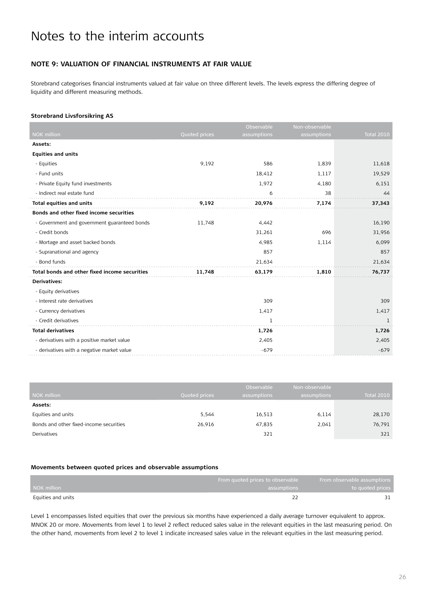## **Note 9: Valuation of financial instruments at fair value**

Storebrand categorises financial instruments valued at fair value on three different levels. The levels express the differing degree of liquidity and different measuring methods.

#### **Storebrand Livsforsikring AS**

|                                               |               | Observable  | Non-observable |                   |
|-----------------------------------------------|---------------|-------------|----------------|-------------------|
| <b>NOK</b> million                            | Quoted prices | assumptions | assumptions    | <b>Total 2010</b> |
| Assets:                                       |               |             |                |                   |
| <b>Equities and units</b>                     |               |             |                |                   |
| - Equities                                    | 9,192         | 586         | 1,839          | 11,618            |
| - Fund units                                  |               | 18,412      | 1,117          | 19,529            |
| - Private Equity fund investments             |               | 1,972       | 4,180          | 6,151             |
| - Indirect real estate fund                   |               | 6           | 38             | 44                |
| <b>Total equities and units</b>               | 9,192         | 20,976      | 7,174          | 37,343            |
| Bonds and other fixed income securities       |               |             |                |                   |
| - Government and government guaranteed bonds  | 11,748        | 4,442       |                | 16,190            |
| - Credit bonds                                |               | 31,261      | 696            | 31,956            |
| - Mortage and asset backed bonds              |               | 4,985       | 1,114          | 6,099             |
| - Supranational and agency                    |               | 857         |                | 857               |
| - Bond funds                                  |               | 21,634      |                | 21,634            |
| Total bonds and other fixed income securities | 11,748        | 63,179      | 1,810          | 76,737            |
| <b>Derivatives:</b>                           |               |             |                |                   |
| - Equity derivatives                          |               |             |                |                   |
| - Interest rate derivatives                   |               | 309         |                | 309               |
| - Currency derivatives                        |               | 1,417       |                | 1,417             |
| - Credit derivatives                          |               | -1          |                | 1                 |
| <b>Total derivatives</b>                      |               | 1,726       |                | 1,726             |
| - derivatives with a positive market value    |               | 2,405       |                | 2,405             |
| - derivatives with a negative market value    |               | $-679$      |                | $-679$            |

| NOK million                             | Quoted prices | Observable<br>assumptions | Non-observable<br>assumptions | <b>Total 2010</b> |
|-----------------------------------------|---------------|---------------------------|-------------------------------|-------------------|
| Assets:                                 |               |                           |                               |                   |
| Equities and units                      | 5,544         | 16,513                    | 6,114                         | 28,170            |
| Bonds and other fixed-income securities | 26,916        | 47,835                    | 2.041                         | 76,791            |
| <b>Derivatives</b>                      |               | 321                       |                               | 321               |

#### **Movements between quoted prices and observable assumptions**

|                    | From guoted prices to observable | <b>Erom observable assumptions</b> |
|--------------------|----------------------------------|------------------------------------|
| NOK million        | assumptions                      | to quoted prices                   |
| Equities and units |                                  |                                    |

Level 1 encompasses listed equities that over the previous six months have experienced a daily average turnover equivalent to approx. MNOK 20 or more. Movements from level 1 to level 2 reflect reduced sales value in the relevant equities in the last measuring period. On the other hand, movements from level 2 to level 1 indicate increased sales value in the relevant equities in the last measuring period.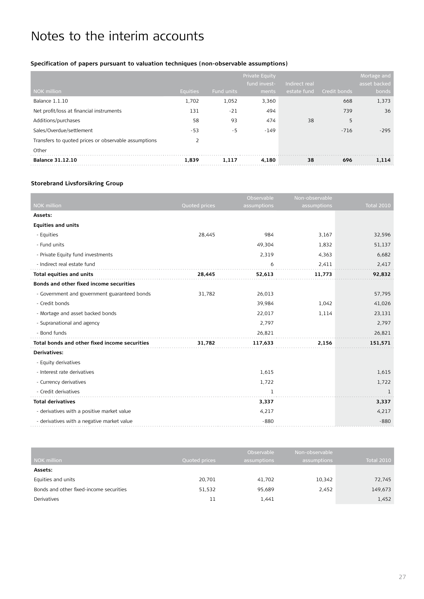### **Specification of papers pursuant to valuation techniques (non-observable assumptions)**

| <b>NOK million</b>                                   | <b>Equities</b> | Fund units | Private Equity<br>fund invest-<br>ments | Indirect real<br>estate fund | Credit bonds | Mortage and<br>asset backed<br>bonds |
|------------------------------------------------------|-----------------|------------|-----------------------------------------|------------------------------|--------------|--------------------------------------|
| Balance 1.1.10                                       | 1,702           | 1,052      | 3,360                                   |                              | 668          | 1,373                                |
| Net profit/loss at financial instruments             | 131             | $-21$      | 494                                     |                              | 739          | 36                                   |
| Additions/purchases                                  | 58              | 93         | 474                                     | 38                           | 5            |                                      |
| Sales/Overdue/settlement                             | $-53$           | $-5$       | $-149$                                  |                              | $-716$       | $-295$                               |
| Transfers to quoted prices or observable assumptions | 2               |            |                                         |                              |              |                                      |
| Other                                                |                 |            |                                         |                              |              |                                      |
| <b>Balance 31.12.10</b>                              | 1.839           | 1.117      | 4.180                                   | 38                           | 696          | 1.114                                |

### **Storebrand Livsforsikring Group**

|                                               |               | Observable  | Non-observable |                   |
|-----------------------------------------------|---------------|-------------|----------------|-------------------|
| <b>NOK</b> million                            | Quoted prices | assumptions | assumptions    | <b>Total 2010</b> |
| Assets:                                       |               |             |                |                   |
| <b>Equities and units</b>                     |               |             |                |                   |
| - Equities                                    | 28,445        | 984         | 3,167          | 32,596            |
| - Fund units                                  |               | 49,304      | 1,832          | 51,137            |
| - Private Equity fund investments             |               | 2,319       | 4,363          | 6,682             |
| - Indirect real estate fund                   |               | 6           | 2,411          | 2,417             |
| <b>Total equities and units</b>               | 28,445        | 52,613      | 11,773         | 92,832            |
| Bonds and other fixed income securities       |               |             |                |                   |
| - Government and government guaranteed bonds  | 31,782        | 26,013      |                | 57,795            |
| - Credit bonds                                |               | 39,984      | 1,042          | 41,026            |
| - Mortage and asset backed bonds              |               | 22,017      | 1,114          | 23,131            |
| - Supranational and agency                    |               | 2,797       |                | 2,797             |
| - Bond funds                                  |               | 26,821      |                | 26,821            |
| Total bonds and other fixed income securities | 31,782        | 117,633     | 2,156          | 151,571           |
| <b>Derivatives:</b>                           |               |             |                |                   |
| - Equity derivatives                          |               |             |                |                   |
| - Interest rate derivatives                   |               | 1,615       |                | 1,615             |
| - Currency derivatives                        |               | 1,722       |                | 1,722             |
| - Credit derivatives                          |               | 1           |                | 1                 |
| <b>Total derivatives</b>                      |               | 3,337       |                | 3,337             |
| - derivatives with a positive market value    |               | 4,217       |                | 4,217             |
| - derivatives with a negative market value    |               | $-880$      |                | $-880$            |

|                                         |               | Observable  | Non-observable |                   |
|-----------------------------------------|---------------|-------------|----------------|-------------------|
| NOK million                             | Quoted prices | assumptions | assumptions    | <b>Total 2010</b> |
| Assets:                                 |               |             |                |                   |
| Equities and units                      | 20,701        | 41,702      | 10,342         | 72,745            |
| Bonds and other fixed-income securities | 51,532        | 95,689      | 2.452          | 149,673           |
| <b>Derivatives</b>                      | 11            | 1,441       |                | 1,452             |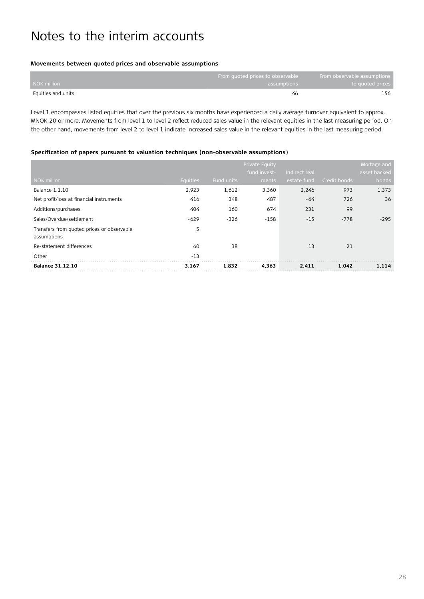#### **Movements between quoted prices and observable assumptions**

|                    | From quoted prices to observable and | From observable assumptions |
|--------------------|--------------------------------------|-----------------------------|
| NOK million        | assumptions                          | to guoted prices            |
| Equities and units | 46                                   | 156                         |

Level 1 encompasses listed equities that over the previous six months have experienced a daily average turnover equivalent to approx. MNOK 20 or more. Movements from level 1 to level 2 reflect reduced sales value in the relevant equities in the last measuring period. On the other hand, movements from level 2 to level 1 indicate increased sales value in the relevant equities in the last measuring period.

### **Specification of papers pursuant to valuation techniques (non-observable assumptions)**

|                                                           |                 |            | <b>Private Equity</b><br>fund invest- | Indirect real |              | Mortage and<br>asset backed |
|-----------------------------------------------------------|-----------------|------------|---------------------------------------|---------------|--------------|-----------------------------|
| NOK million                                               | <b>Equities</b> | Fund units | ments                                 | estate fund   | Credit bonds | bonds                       |
| Balance 1.1.10                                            | 2,923           | 1,612      | 3,360                                 | 2,246         | 973          | 1,373                       |
| Net profit/loss at financial instruments                  | 416             | 348        | 487                                   | $-64$         | 726          | 36                          |
| Additions/purchases                                       | 404             | 160        | 674                                   | 231           | 99           |                             |
| Sales/Overdue/settlement                                  | $-629$          | $-326$     | $-158$                                | $-15$         | $-778$       | $-295$                      |
| Transfers from quoted prices or observable<br>assumptions | 5               |            |                                       |               |              |                             |
| Re-statement differences                                  | 60              | 38         |                                       | 13            | 21           |                             |
| Other                                                     | $-13$           |            |                                       |               |              |                             |
| <b>Balance 31.12.10</b>                                   | 3,167           | 1.832      | 4.363                                 | 2.411         | 1.042        | 1.114                       |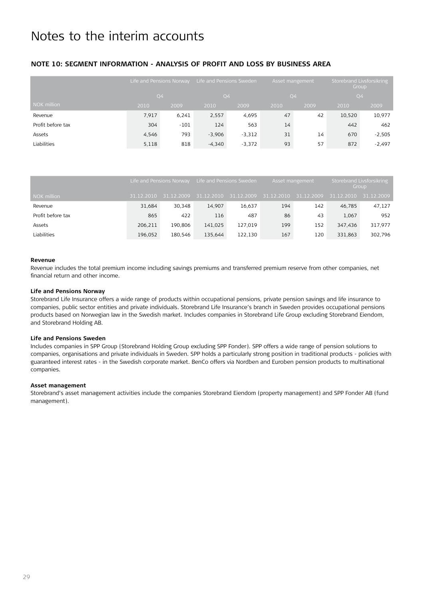## **Note 10: Segment information - analysis of profit and loss by business area**

|                   | Life and Pensions Norway |        | Life and Pensions Sweden |          | Asset mangement |      | Storebrand Livsforsikring<br>Group |          |
|-------------------|--------------------------|--------|--------------------------|----------|-----------------|------|------------------------------------|----------|
|                   | Q <sub>4</sub>           |        | Q4                       |          | Q4              |      | Q <sub>4</sub>                     |          |
| NOK million       | 2010                     | 2009   | 2010                     | 2009     | 2010            | 2009 | 2010                               | 2009     |
| Revenue           | 7.917                    | 6,241  | 2,557                    | 4,695    | 47              | 42   | 10,520                             | 10,977   |
| Profit before tax | 304                      | $-101$ | 124                      | 563      | 14              |      | 442                                | 462      |
| Assets            | 4,546                    | 793    | $-3,906$                 | $-3,312$ | 31              | 14   | 670                                | $-2,505$ |
| Liabilities       | 5,118                    | 818    | $-4,340$                 | $-3,372$ | 93              | 57   | 872                                | $-2.497$ |

|                    | Life and Pensions Norway |         | Life and Pensions Sweden                    |         | Asset mangement     |            | Storebrand Livsforsikring<br>Group |         |
|--------------------|--------------------------|---------|---------------------------------------------|---------|---------------------|------------|------------------------------------|---------|
| NOK million        |                          |         | 31.12.2010 31.12.2009 31.12.2010 31.12.2009 |         | $\sqrt{31.12.2010}$ | 31.12.2009 | 31.12.2010 31.12.2009              |         |
| Revenue            | 31,684                   | 30.348  | 14,907                                      | 16,637  | 194                 | 142        | 46.785                             | 47.127  |
| Profit before tax  | 865                      | 422     | 116                                         | 487     | 86                  | 43         | 1.067                              | 952     |
| Assets             | 206.211                  | 190.806 | 141.025                                     | 127.019 | 199                 | 152        | 347.436                            | 317,977 |
| <b>Liabilities</b> | 196.052                  | 180.546 | 135.644                                     | 122.130 | 167                 | 120        | 331,863                            | 302.796 |

#### **Revenue**

Revenue includes the total premium income including savings premiums and transferred premium reserve from other companies, net financial return and other income.

#### **Life and Pensions Norway**

Storebrand Life Insurance offers a wide range of products within occupational pensions, private pension savings and life insurance to companies, public sector entities and private individuals. Storebrand Life Insurance's branch in Sweden provides occupational pensions products based on Norwegian law in the Swedish market. Includes companies in Storebrand Life Group excluding Storebrand Eiendom, and Storebrand Holding AB.

#### **Life and Pensions Sweden**

Includes companies in SPP Group (Storebrand Holding Group excluding SPP Fonder). SPP offers a wide range of pension solutions to companies, organisations and private individuals in Sweden. SPP holds a particularly strong position in traditional products - policies with guaranteed interest rates - in the Swedish corporate market. BenCo offers via Nordben and Euroben pension products to multinational companies.

#### **Asset management**

Storebrand's asset management activities include the companies Storebrand Eiendom (property management) and SPP Fonder AB (fund management).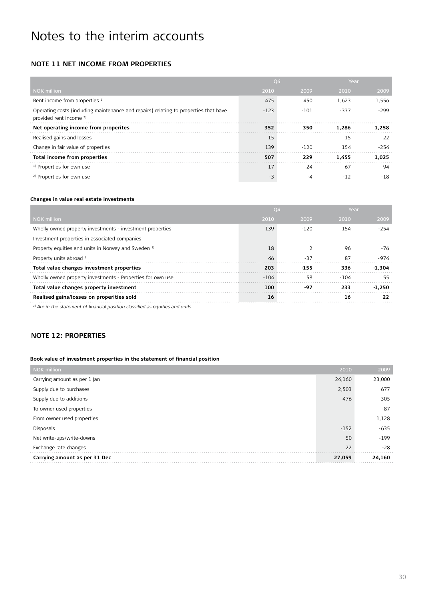## **Note 11 Net income from properties**

|                                                                                                                            | Q <sub>4</sub> |        |        | Year   |
|----------------------------------------------------------------------------------------------------------------------------|----------------|--------|--------|--------|
| <b>NOK</b> million                                                                                                         | 2010           | 2009   | 2010   | 2009   |
| Rent income from properties 1)                                                                                             | 475            | 450    | 1,623  | 1,556  |
| Operating costs (including maintenance and repairs) relating to properties that have<br>provided rent income <sup>2)</sup> | $-123$         | $-101$ | $-337$ | $-299$ |
| Net operating income from properites                                                                                       | 352            | 350    | 1.286  | 1.258  |
| Realised gains and losses                                                                                                  | 15             |        | 15     | 22     |
| Change in fair value of properties                                                                                         | 139            | $-120$ | 154    | -254   |
| Total income from properties                                                                                               | 507            | 229    | 1.455  | 1,025  |
| <sup>1)</sup> Properties for own use                                                                                       | 17             | 24     | 67     | 94     |
| <sup>2)</sup> Properties for own use                                                                                       | $-3$           | -4     | $-12$  | $-18$  |

#### **Changes in value real estate investments**

|                                                                                           | Q <sub>4</sub> |        |        | Year     |
|-------------------------------------------------------------------------------------------|----------------|--------|--------|----------|
| <b>NOK</b> million                                                                        | 2010           | 2009   | 2010   | 2009     |
| Wholly owned property investments - investment properties                                 | 139            | $-120$ | 154    | $-254$   |
| Investment properties in associated companies                                             |                |        |        |          |
| Property equities and units in Norway and Sweden 1)                                       | 18             |        | 96     | $-76$    |
| Property units abroad 1)                                                                  | 46             | $-37$  | 87     | $-974$   |
| Total value changes investment properties                                                 | 203            | $-155$ | 336    | $-1.304$ |
| Wholly owned property investments - Properties for own use                                | $-104$         | 58     | $-104$ | 55       |
| Total value changes property investment                                                   | 100            | $-97$  | 233    | $-1.250$ |
| Realised gains/losses on properities sold                                                 | 16             |        | 16     | 22       |
| <sup>1)</sup> Are in the statement of financial position classified as equities and units |                |        |        |          |

### **Note 12: Properties**

#### **Book value of investment properties in the statement of financial position**

| <b>NOK</b> million            | 2010   | 2009   |
|-------------------------------|--------|--------|
| Carrying amount as per 1 Jan  | 24,160 | 23,000 |
| Supply due to purchases       | 2,503  | 677    |
| Supply due to additions       | 476    | 305    |
| To owner used properties      |        | $-87$  |
| From owner used properties    |        | 1,128  |
| Disposals                     | $-152$ | $-635$ |
| Net write-ups/write-downs     | 50     | $-199$ |
| Exchange rate changes         | 22     | $-28$  |
| Carrying amount as per 31 Dec | 27,059 | 24,160 |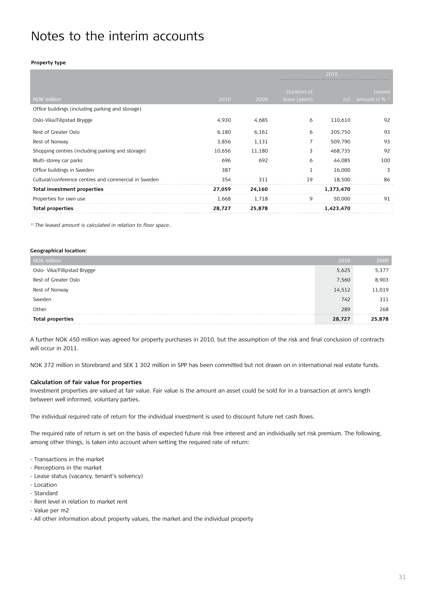#### **Property type**

|                                                      |        |        | 2010          |           |               |  |
|------------------------------------------------------|--------|--------|---------------|-----------|---------------|--|
|                                                      |        |        |               |           |               |  |
|                                                      |        |        | Duration of   |           | Leased        |  |
| <b>NOK million</b>                                   | 2010   | 2009   | lease (years) | m2        | amount in % 1 |  |
| Office buildings (including parking and storage)     |        |        |               |           |               |  |
| Oslo-Vika/Filipstad Brygge                           | 4,930  | 4,685  | 6             | 110,610   | 92            |  |
| Rest of Greater Oslo                                 | 6,180  | 6,161  | 6             | 205,750   | 93            |  |
| Rest of Norway                                       | 3,856  | 1,131  | 7             | 509,790   | 93            |  |
| Shopping centres (including parking and storage)     | 10,656 | 11,180 | 3             | 468,735   | 92            |  |
| Multi-storey car parks                               | 696    | 692    | 6             | 44,085    | 100           |  |
| Office buildings in Sweden                           | 387    |        | 1             | 16,000    | 3             |  |
| Cultural/conference centres and commercial in Sweden | 354    | 311    | 19            | 18,500    | 86            |  |
| <b>Total investment properties</b>                   | 27,059 | 24,160 |               | 1,373,470 |               |  |
| Properties for own use                               | 1,668  | 1,718  | 9             | 50,000    | 91            |  |
| <b>Total properties</b>                              | 28,727 | 25,878 |               | 1,423,470 |               |  |

*1) The leased amount is calculated in relation to floor space..*

#### **Geographical location:**

| NOK million                  | 2010   | 2009   |
|------------------------------|--------|--------|
| Oslo- Vika/Fillipstad Brygge | 5,625  | 5,377  |
| Rest of Greater Oslo         | 7,560  | 8,903  |
| Rest of Norway               | 14,512 | 11,019 |
| Sweden                       | 742    | 311    |
| Other                        | 289    | 268    |
| <b>Total properties</b>      | 28,727 | 25,878 |

A further NOK 450 million was agreed for property purchases in 2010, but the assumption of the risk and final conclusion of contracts will occur in 2011.

NOK 372 million in Storebrand and SEK 1 302 million in SPP has been committed but not drawn on in international real estate funds.

#### **Calculation of fair value for properties**

Investment properties are valued at fair value. Fair value is the amount an asset could be sold for in a transaction at arm's length between well informed, voluntary parties.

The individual required rate of return for the individual investment is used to discount future net cash flows.

The required rate of return is set on the basis of expected future risk free interest and an individually set risk premium. The following, among other things, is taken into account when setting the required rate of return:

- Transactions in the market
- Perceptions in the market
- Lease status (vacancy, tenant's solvency)
- Location
- Standard
- Rent level in relation to market rent
- Value per m2
- All other information about property values, the market and the individual property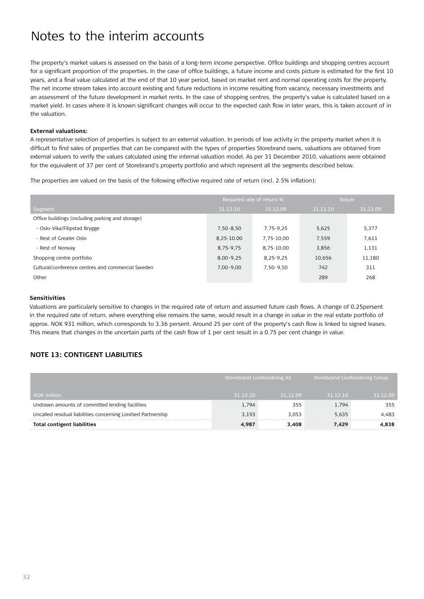The property's market values is assessed on the basis of a long-term income perspective. Office buildings and shopping centres account for a significant proportion of the properties. In the case of office buildings, a future income and costs picture is estimated for the first 10 years, and a final value calculated at the end of that 10 year period, based on market rent and normal operating costs for the property. The net income stream takes into account existing and future reductions in income resulting from vacancy, necessary investments and an assessment of the future development in market rents. In the case of shopping centres, the property's value is calculated based on a market yield. In cases where it is known significant changes will occur to the expected cash flow in later years, this is taken account of in the valuation.

### **External valuations:**

A representative selection of properties is subject to an external valuation. In periods of low activity in the property market when it is difficult to find sales of properties that can be compared with the types of properties Storebrand owns, valuations are obtained from external valuers to verify the values calculated using the internal valuation model. As per 31 December 2010, valuations were obtained for the equivalent of 37 per cent of Storebrand's property portfolio and which represent all the segments described below.

The properties are valued on the basis of the following effective required rate of return (incl. 2.5% inflation):

|                                                   | Required rate of return % |               | Volum    |          |
|---------------------------------------------------|---------------------------|---------------|----------|----------|
| Segment                                           | 31.12.10                  | 31.12.09      | 31.12.10 | 31.12.09 |
| Office buildings (including parking and storage)  |                           |               |          |          |
| - Oslo-Vika/Filipstad Brygge                      | $7.50 - 8.50$             | 7.75-9.25     | 5,625    | 5,377    |
| - Rest of Greater Oslo                            | 8,25-10.00                | 7.75-10.00    | 7,559    | 7,611    |
| - Rest of Norway                                  | 8,75-9,75                 | 8,75-10,00    | 3,856    | 1,131    |
| Shopping centre portfolio                         | $8,00 - 9,25$             | $8.25 - 9.25$ | 10,656   | 11,180   |
| Cultural/conference centres and commercial Sweden | $7.00 - 9.00$             | $7.50 - 9.50$ | 742      | 311      |
| Other                                             |                           |               | 289      | 268      |

#### **Sensitivities**

Valuations are particularly sensitive to changes in the required rate of return and assumed future cash flows. A change of 0.25persent in the required rate of return, where everything else remains the same, would result in a change in value in the real estate portfolio of approx. NOK 931 million, which corresponds to 3.36 persent. Around 25 per cent of the property's cash flow is linked to signed leases. This means that changes in the uncertain parts of the cash flow of 1 per cent result in a 0.75 per cent change in value.

### **Note 13: Contigent liabilities**

|                                                               | Storebrand Livsforsikring AS |          |          | Storebrand Livsforsikring Group |  |
|---------------------------------------------------------------|------------------------------|----------|----------|---------------------------------|--|
| NOK million                                                   | 31.12.10                     | 31.12.09 | 31.12.10 | 31.12.09                        |  |
| Undrawn amounts of committed lending facilities               | 1.794                        | 355      | 1.794    | 355                             |  |
| Uncalled residual liabilities concerning Limitied Partnership | 3,193                        | 3.053    | 5.635    | 4.483                           |  |
| <b>Total contigent liabilities</b>                            | 4.987                        | 3.408    | 7.429    | 4,838                           |  |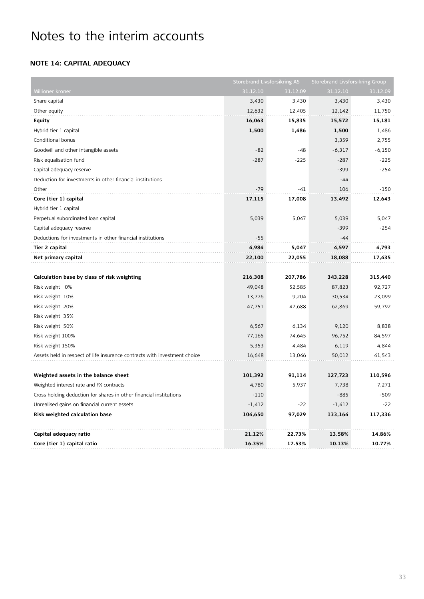## **Note 14: Capital adequacy**

|                                                                           | <b>Storebrand Livsforsikring AS</b> |          | <b>Storebrand Livsforsikring Group</b> |          |
|---------------------------------------------------------------------------|-------------------------------------|----------|----------------------------------------|----------|
| Millioner kroner                                                          | 31.12.10                            | 31.12.09 | 31.12.10                               | 31.12.09 |
| Share capital                                                             | 3,430                               | 3,430    | 3,430                                  | 3,430    |
| Other equity                                                              | 12,632                              | 12,405   | 12,142                                 | 11,750   |
| <b>Equity</b>                                                             | 16,063                              | 15,835   | 15,572                                 | 15,181   |
| Hybrid tier 1 capital                                                     | 1,500                               | 1,486    | 1,500                                  | 1,486    |
| Conditional bonus                                                         |                                     |          | 3,359                                  | 2,755    |
| Goodwill and other intangible assets                                      | $-82$                               | $-48$    | $-6,317$                               | $-6,150$ |
| Risk equalisation fund                                                    | $-287$                              | $-225$   | $-287$                                 | $-225$   |
| Capital adequacy reserve                                                  |                                     |          | -399                                   | -254     |
| Deduction for investments in other financial institutions                 |                                     |          | -44                                    |          |
| Other                                                                     | $-79$                               | $-41$    | 106                                    | $-150$   |
| Core (tier 1) capital                                                     | 17,115                              | 17,008   | 13,492                                 | 12,643   |
| Hybrid tier 1 capital                                                     |                                     |          |                                        |          |
| Perpetual subordinated loan capital                                       | 5,039                               | 5,047    | 5,039                                  | 5,047    |
| Capital adequacy reserve                                                  |                                     |          | $-399$                                 | -254     |
| Deductions for investments in other financial institutions                | $-55$                               |          | -44                                    |          |
| Tier 2 capital                                                            | 4,984                               | 5,047    | 4,597                                  | 4,793    |
| Net primary capital                                                       | 22,100                              | 22,055   | 18,088                                 | 17,435   |
|                                                                           |                                     |          |                                        |          |
| Calculation base by class of risk weighting                               | 216,308                             | 207,786  | 343,228                                | 315,440  |
| Risk weight 0%                                                            | 49,048                              | 52,585   | 87,823                                 | 92,727   |
| Risk weight 10%                                                           | 13,776                              | 9,204    | 30,534                                 | 23,099   |
| Risk weight 20%                                                           | 47,751                              | 47,688   | 62,869                                 | 59,792   |
| Risk weight 35%                                                           |                                     |          |                                        |          |
| Risk weight 50%                                                           | 6,567                               | 6,134    | 9,120                                  | 8,838    |
| Risk weight 100%                                                          | 77,165                              | 74,645   | 96,752                                 | 84,597   |
| Risk weight 150%                                                          | 5,353                               | 4,484    | 6,119                                  | 4,844    |
| Assets held in respect of life insurance contracts with investment choice | 16,648                              | 13,046   | 50,012                                 | 41,543   |
|                                                                           |                                     |          |                                        |          |
| Weighted assets in the balance sheet                                      | 101,392                             | 91,114   | 127,723                                | 110,596  |
| Weighted interest rate and FX contracts                                   | 4,780                               | 5,937    | 7,738                                  | 7,271    |
| Cross holding deduction for shares in other financial institutions        | $-110$                              |          | $-885$                                 | $-509$   |
| Unrealised gains on financial current assets                              | $-1,412$                            | $-22$    | $-1,412$                               | $-22$    |
| Risk weighted calculation base                                            | 104,650                             | 97,029   | 133,164                                | 117,336  |
|                                                                           |                                     |          |                                        |          |
| Capital adequacy ratio                                                    | 21.12%                              | 22.73%   | 13.58%                                 | 14.86%   |
| Core (tier 1) capital ratio                                               | 16.35%                              | 17.53%   | 10.13%                                 | 10.77%   |